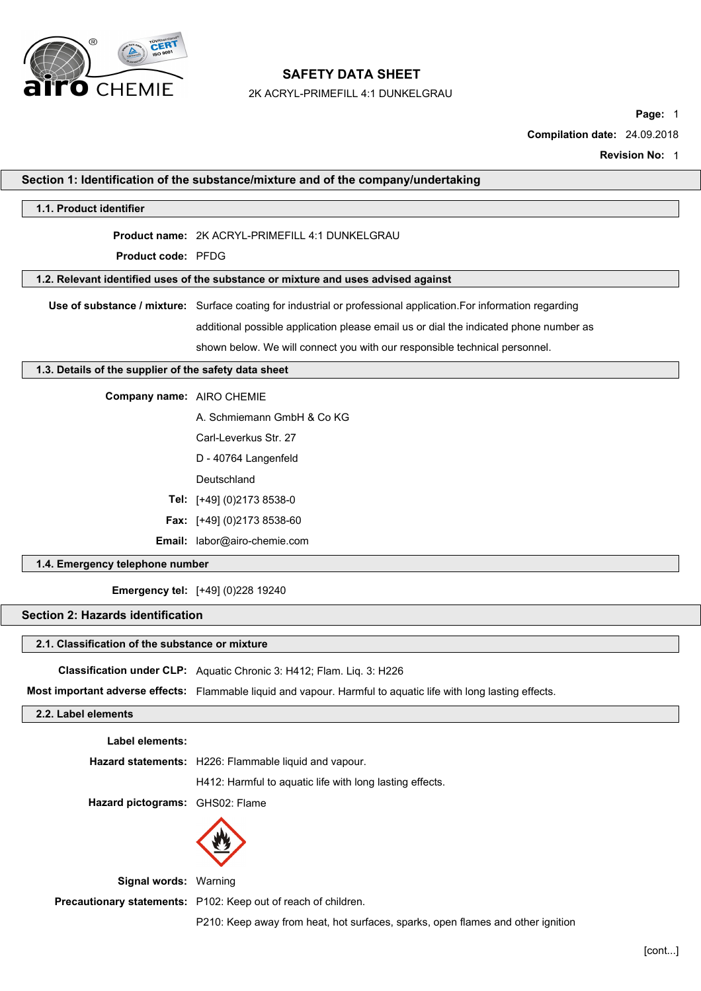

2K ACRYL-PRIMEFILL 4:1 DUNKELGRAU

**Page:** 1

**Compilation date:** 24.09.2018

**Revision No:** 1

|                                                       | Section 1: Identification of the substance/mixture and of the company/undertaking                                 |
|-------------------------------------------------------|-------------------------------------------------------------------------------------------------------------------|
| 1.1. Product identifier                               |                                                                                                                   |
|                                                       | Product name: 2K ACRYL-PRIMEFILL 4:1 DUNKELGRAU                                                                   |
| Product code: PFDG                                    |                                                                                                                   |
|                                                       | 1.2. Relevant identified uses of the substance or mixture and uses advised against                                |
|                                                       | Use of substance / mixture: Surface coating for industrial or professional application. For information regarding |
|                                                       | additional possible application please email us or dial the indicated phone number as                             |
|                                                       | shown below. We will connect you with our responsible technical personnel.                                        |
| 1.3. Details of the supplier of the safety data sheet |                                                                                                                   |
| Company name: AIRO CHEMIE                             |                                                                                                                   |
|                                                       | A. Schmiemann GmbH & Co KG                                                                                        |
|                                                       | Carl-Leverkus Str. 27                                                                                             |
|                                                       | D - 40764 Langenfeld                                                                                              |
|                                                       | Deutschland                                                                                                       |
|                                                       | Tel: [+49] (0)2173 8538-0                                                                                         |
|                                                       | Fax: [+49] (0)2173 8538-60                                                                                        |
|                                                       | Email: labor@airo-chemie.com                                                                                      |
| 1.4. Emergency telephone number                       |                                                                                                                   |
|                                                       | <b>Emergency tel:</b> [+49] (0)228 19240                                                                          |
| Section 2: Hazards identification                     |                                                                                                                   |
| 2.1. Classification of the substance or mixture       |                                                                                                                   |
|                                                       | Classification under CLP: Aquatic Chronic 3: H412; Flam. Liq. 3: H226                                             |
|                                                       | Most important adverse effects: Flammable liquid and vapour. Harmful to aquatic life with long lasting effects.   |
| 2.2. Label elements                                   |                                                                                                                   |
| Label elements:                                       |                                                                                                                   |
|                                                       | Hazard statements: H226: Flammable liquid and vapour.                                                             |
|                                                       | H412: Harmful to aquatic life with long lasting effects.                                                          |
| Hazard pictograms: GHS02: Flame                       |                                                                                                                   |
|                                                       |                                                                                                                   |

**Signal words:** Warning

**Precautionary statements:** P102: Keep out of reach of children.

P210: Keep away from heat, hot surfaces, sparks, open flames and other ignition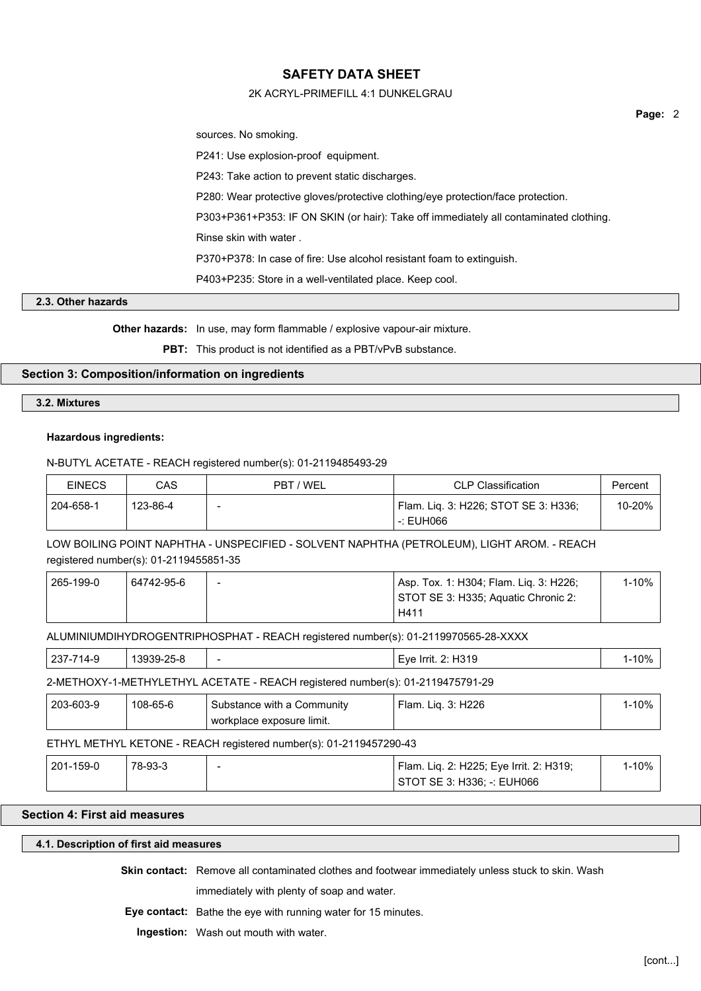## 2K ACRYL-PRIMEFILL 4:1 DUNKELGRAU

sources. No smoking.

P241: Use explosion-proof equipment.

P243: Take action to prevent static discharges.

P280: Wear protective gloves/protective clothing/eye protection/face protection.

P303+P361+P353: IF ON SKIN (or hair): Take off immediately all contaminated clothing.

Rinse skin with water .

P370+P378: In case of fire: Use alcohol resistant foam to extinguish.

P403+P235: Store in a well-ventilated place. Keep cool.

## **2.3. Other hazards**

**Other hazards:** In use, may form flammable / explosive vapour-air mixture.

**PBT:** This product is not identified as a PBT/vPvB substance.

## **Section 3: Composition/information on ingredients**

#### **3.2. Mixtures**

## **Hazardous ingredients:**

## N-BUTYL ACETATE - REACH registered number(s): 01-2119485493-29

| <b>EINECS</b> | CAS      | PBT / WEL | <b>CLP Classification</b>            | Percent |
|---------------|----------|-----------|--------------------------------------|---------|
| 204-658-1     | 123-86-4 | -         | Flam. Lig. 3: H226; STOT SE 3: H336; | 10-20%  |
|               |          |           | -: EUH066                            |         |

LOW BOILING POINT NAPHTHA - UNSPECIFIED - SOLVENT NAPHTHA (PETROLEUM), LIGHT AROM. - REACH registered number(s): 01-2119455851-35

| 265-199-0 | 64742-95-6 | $\overline{\phantom{0}}$ | Asp. Tox. 1: H304; Flam. Lig. 3: H226; | 1-10% |
|-----------|------------|--------------------------|----------------------------------------|-------|
|           |            |                          | STOT SE 3: H335; Aquatic Chronic 2:    |       |
|           |            |                          | H411                                   |       |

ALUMINIUMDIHYDROGENTRIPHOSPHAT - REACH registered number(s): 01-2119970565-28-XXXX

|  | ימה<br>$\mathbf{r}$<br>، ب ے | n.<br>ີ້<br>__<br>$\sim$ | - | $\cdot$<br>. .<br>-Irrit.<br>⊢ve<br>. .<br>1 J J J J | 10% |
|--|------------------------------|--------------------------|---|------------------------------------------------------|-----|
|--|------------------------------|--------------------------|---|------------------------------------------------------|-----|

#### 2-METHOXY-1-METHYLETHYL ACETATE - REACH registered number(s): 01-2119475791-29

| 203-603-9 | 108-65-6 | Substance with a Community  | 3: H226<br>Ham.<br>Lia<br>J. | 1-10% |
|-----------|----------|-----------------------------|------------------------------|-------|
|           |          | ' workplace exposure limit. |                              |       |

## ETHYL METHYL KETONE - REACH registered number(s): 01-2119457290-43

| 201-159-0 | 78-93-3 | <sup>1</sup> Flam. Liq. 2: H225; Eye Irrit. 2: H319; | $-10%$ |  |
|-----------|---------|------------------------------------------------------|--------|--|
|           |         | STOT SE 3: H336: -: EUH066                           |        |  |

## **Section 4: First aid measures**

## **4.1. Description of first aid measures**

**Skin contact:** Remove all contaminated clothes and footwear immediately unless stuck to skin. Wash immediately with plenty of soap and water.

**Eye contact:** Bathe the eye with running water for 15 minutes.

**Ingestion:** Wash out mouth with water.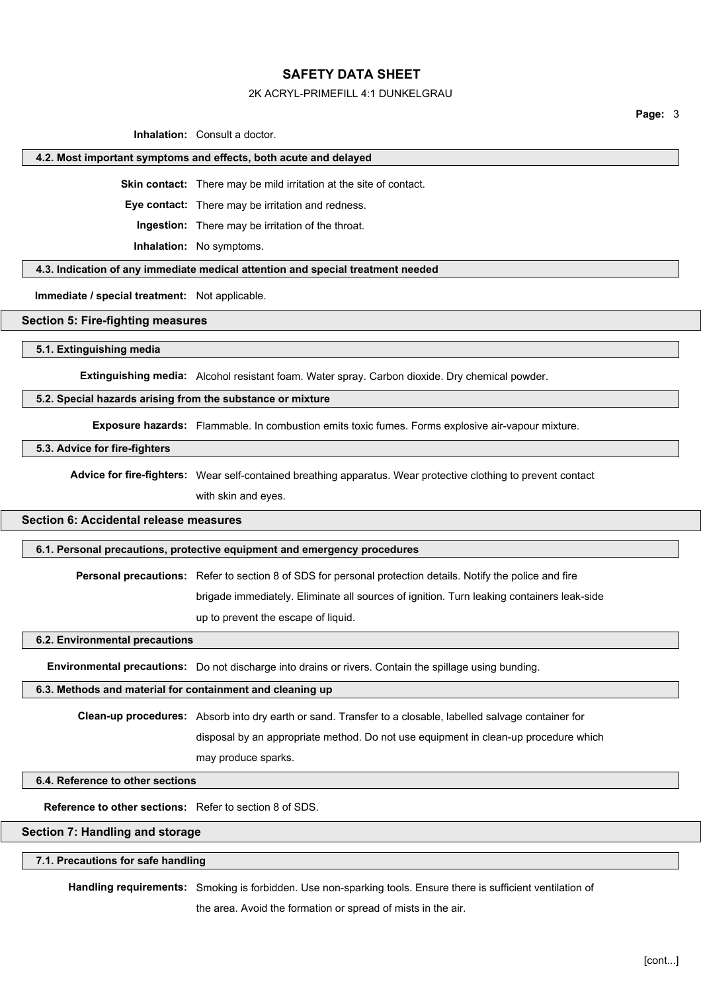#### 2K ACRYL-PRIMEFILL 4:1 DUNKELGRAU

**Page:** 3

**Inhalation:** Consult a doctor.

#### **4.2. Most important symptoms and effects, both acute and delayed**

**Skin contact:** There may be mild irritation at the site of contact.

**Eye contact:** There may be irritation and redness.

**Ingestion:** There may be irritation of the throat.

**Inhalation:** No symptoms.

**4.3. Indication of any immediate medical attention and special treatment needed**

**Immediate / special treatment:** Not applicable.

#### **Section 5: Fire-fighting measures**

**5.1. Extinguishing media**

**Extinguishing media:** Alcohol resistant foam. Water spray. Carbon dioxide. Dry chemical powder.

#### **5.2. Special hazards arising from the substance or mixture**

**Exposure hazards:** Flammable. In combustion emits toxic fumes. Forms explosive air-vapour mixture.

#### **5.3. Advice for fire-fighters**

**Advice for fire-fighters:** Wear self-contained breathing apparatus. Wear protective clothing to prevent contact

with skin and eyes.

# **Section 6: Accidental release measures**

#### **6.1. Personal precautions, protective equipment and emergency procedures**

**Personal precautions:** Refer to section 8 of SDS for personal protection details. Notify the police and fire

brigade immediately. Eliminate all sources of ignition. Turn leaking containers leak-side

up to prevent the escape of liquid.

**6.2. Environmental precautions**

**Environmental precautions:** Do not discharge into drains or rivers. Contain the spillage using bunding.

#### **6.3. Methods and material for containment and cleaning up**

**Clean-up procedures:** Absorb into dry earth or sand. Transfer to a closable, labelled salvage container for

disposal by an appropriate method. Do not use equipment in clean-up procedure which

may produce sparks.

## **6.4. Reference to other sections**

**Reference to other sections:** Refer to section 8 of SDS.

## **Section 7: Handling and storage**

#### **7.1. Precautions for safe handling**

**Handling requirements:** Smoking is forbidden. Use non-sparking tools. Ensure there is sufficient ventilation of

the area. Avoid the formation or spread of mists in the air.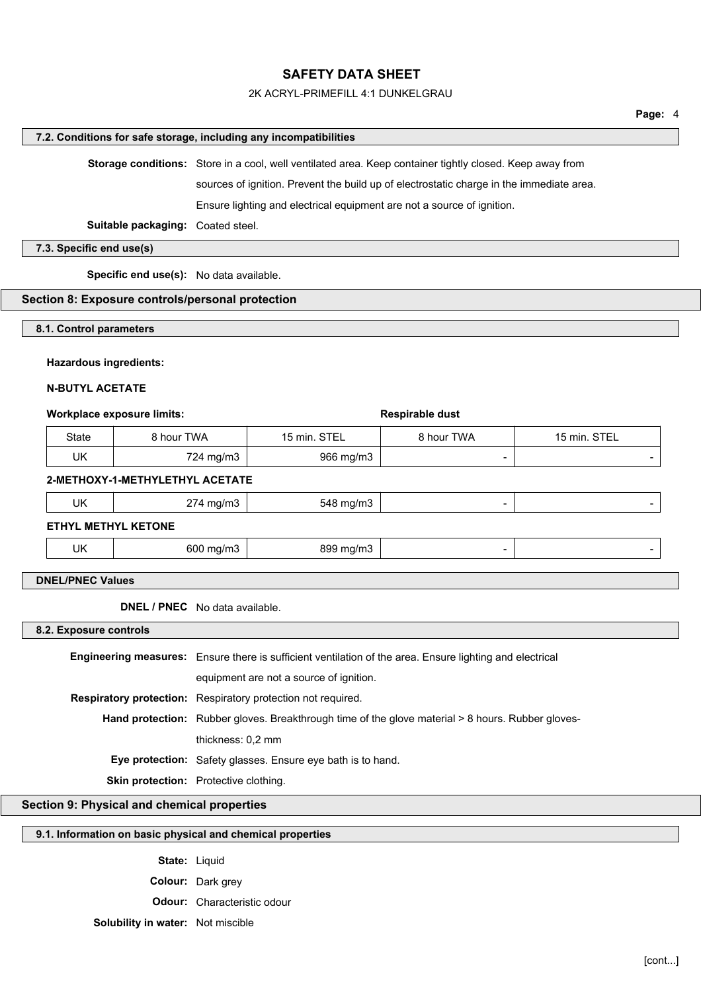#### 2K ACRYL-PRIMEFILL 4:1 DUNKELGRAU

## **Page:** 4

#### **7.2. Conditions for safe storage, including any incompatibilities**

**Storage conditions:** Store in a cool, well ventilated area. Keep container tightly closed. Keep away from

sources of ignition. Prevent the build up of electrostatic charge in the immediate area.

Ensure lighting and electrical equipment are not a source of ignition.

**Suitable packaging:** Coated steel.

## **7.3. Specific end use(s)**

**Specific end use(s):** No data available.

#### **Section 8: Exposure controls/personal protection**

#### **8.1. Control parameters**

#### **Hazardous ingredients:**

#### **N-BUTYL ACETATE**

#### **Workplace exposure limits:**  $\qquad \qquad$  **Respirable dust**

| State | 8 hour TWA | 15 min. STEL | 8 hour TWA | 15 min. STEL |
|-------|------------|--------------|------------|--------------|
| UK    | 724 mg/m3  | 966 mg/m3    |            |              |

#### **2-METHOXY-1-METHYLETHYL ACETATE**

| UK | 774.<br>ma/m3<br>___<br>ັ | 548<br><sup>ი</sup> mɑ/mა<br>. . |  |
|----|---------------------------|----------------------------------|--|
|    |                           |                                  |  |

## **ETHYL METHYL KETONE**

| UK<br>600<br>89S<br>$max$ $max'$<br>----<br>ma/m3<br>' mg/mა |  |  |
|--------------------------------------------------------------|--|--|
|--------------------------------------------------------------|--|--|

## **DNEL/PNEC Values**

**DNEL / PNEC** No data available.

#### **8.2. Exposure controls**

**Engineering measures:** Ensure there is sufficient ventilation of the area. Ensure lighting and electrical equipment are not a source of ignition. **Respiratory protection:** Respiratory protection not required. Hand protection: Rubber gloves. Breakthrough time of the glove material > 8 hours. Rubber glovesthickness: 0,2 mm **Eye protection:** Safety glasses. Ensure eye bath is to hand. **Skin protection:** Protective clothing.

## **Section 9: Physical and chemical properties**

### **9.1. Information on basic physical and chemical properties**

**State:** Liquid **Colour:** Dark grey **Odour:** Characteristic odour **Solubility in water:** Not miscible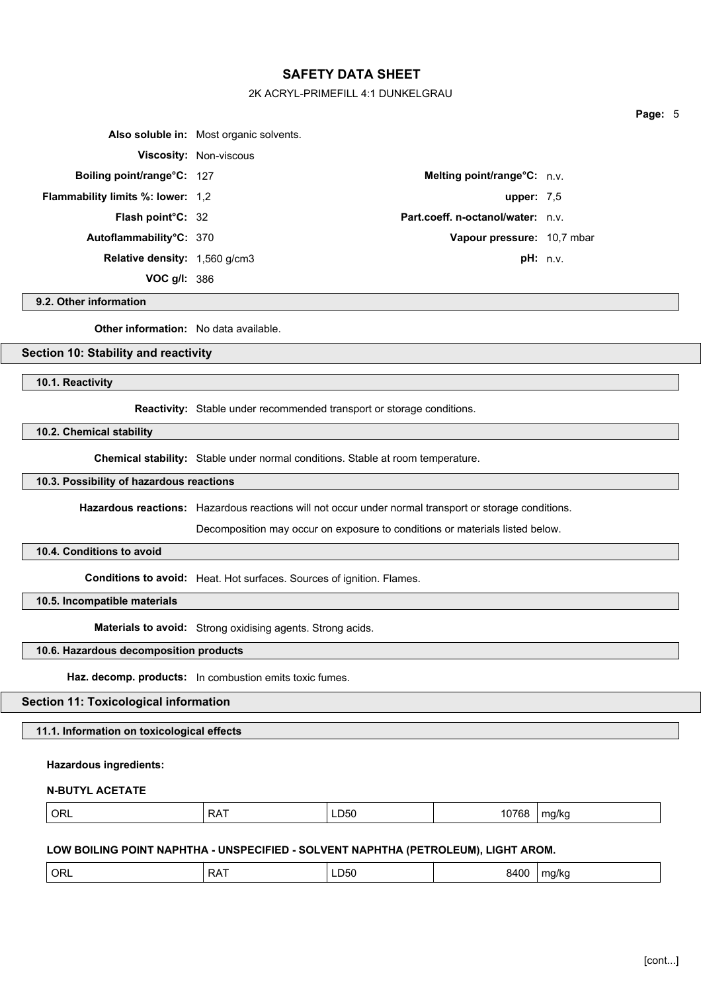#### 2K ACRYL-PRIMEFILL 4:1 DUNKELGRAU

|                                          | Also soluble in: Most organic solvents. |                                   |  |
|------------------------------------------|-----------------------------------------|-----------------------------------|--|
|                                          | Viscosity: Non-viscous                  |                                   |  |
| Boiling point/range°C: 127               |                                         | Melting point/range°C: n.v.       |  |
| <b>Flammability limits %: lower: 1,2</b> |                                         | upper: $7.5$                      |  |
| Flash point°C: 32                        |                                         | Part.coeff. n-octanol/water: n.v. |  |
| Autoflammability°C: 370                  |                                         | Vapour pressure: 10,7 mbar        |  |
| <b>Relative density:</b> 1,560 g/cm3     |                                         | pH: n.v.                          |  |
| VOC $g/l: 386$                           |                                         |                                   |  |

## **9.2. Other information**

**Other information:** No data available.

## **Section 10: Stability and reactivity**

**10.1. Reactivity**

**Reactivity:** Stable under recommended transport or storage conditions.

**10.2. Chemical stability**

**Chemical stability:** Stable under normal conditions. Stable at room temperature.

## **10.3. Possibility of hazardous reactions**

**Hazardous reactions:** Hazardous reactions will not occur under normal transport or storage conditions.

Decomposition may occur on exposure to conditions or materials listed below.

## **10.4. Conditions to avoid**

**Conditions to avoid:** Heat. Hot surfaces. Sources of ignition. Flames.

**10.5. Incompatible materials**

**Materials to avoid:** Strong oxidising agents. Strong acids.

## **10.6. Hazardous decomposition products**

**Haz. decomp. products:** In combustion emits toxic fumes.

# **Section 11: Toxicological information**

**11.1. Information on toxicological effects**

## **Hazardous ingredients:**

### **N-BUTYL ACETATE**

|--|

#### **LOW BOILING POINT NAPHTHA - UNSPECIFIED - SOLVENT NAPHTHA (PETROLEUM), LIGHT AROM.**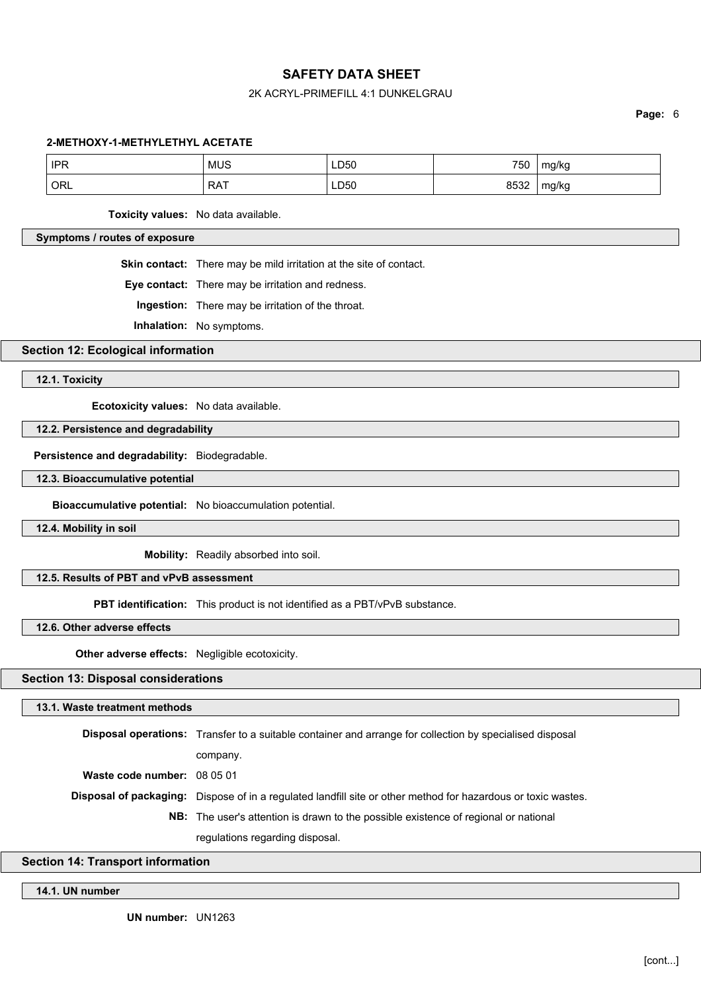## 2K ACRYL-PRIMEFILL 4:1 DUNKELGRAU

**Page:** 6

#### **2-METHOXY-1-METHYLETHYL ACETATE**

| <b>IPR</b><br>. | <b>MUS</b> | LD50<br>$\sim$ | 750  | mg/kc |
|-----------------|------------|----------------|------|-------|
| ORL             | <b>RAT</b> | ∟D50<br>__     | 8532 | mg/kg |

**Toxicity values:** No data available.

## **Symptoms / routes of exposure**

**Skin contact:** There may be mild irritation at the site of contact.

**Eye contact:** There may be irritation and redness.

**Ingestion:** There may be irritation of the throat.

**Inhalation:** No symptoms.

**Section 12: Ecological information**

**12.1. Toxicity**

**Ecotoxicity values:** No data available.

## **12.2. Persistence and degradability**

**Persistence and degradability:** Biodegradable.

#### **12.3. Bioaccumulative potential**

**Bioaccumulative potential:** No bioaccumulation potential.

**12.4. Mobility in soil**

**Mobility:** Readily absorbed into soil.

## **12.5. Results of PBT and vPvB assessment**

**PBT identification:** This product is not identified as a PBT/vPvB substance.

**12.6. Other adverse effects**

**Other adverse effects:** Negligible ecotoxicity.

## **Section 13: Disposal considerations**

#### **13.1. Waste treatment methods**

**Disposal operations:** Transfer to a suitable container and arrange for collection by specialised disposal company. **Waste code number:** 08 05 01 **Disposal of packaging:** Dispose of in a regulated landfill site or other method for hazardous or toxic wastes. **NB:** The user's attention is drawn to the possible existence of regional or national regulations regarding disposal.

## **Section 14: Transport information**

#### **14.1. UN number**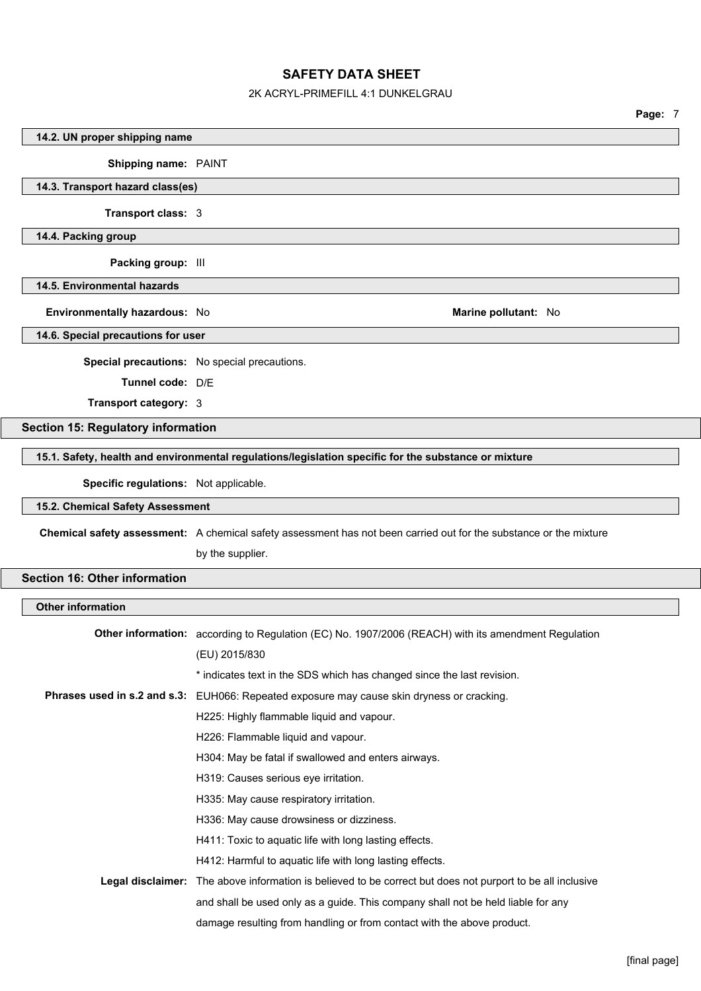## 2K ACRYL-PRIMEFILL 4:1 DUNKELGRAU

|                                           |                                                                                                                    | Page: 7 |  |
|-------------------------------------------|--------------------------------------------------------------------------------------------------------------------|---------|--|
| 14.2. UN proper shipping name             |                                                                                                                    |         |  |
| Shipping name: PAINT                      |                                                                                                                    |         |  |
| 14.3. Transport hazard class(es)          |                                                                                                                    |         |  |
| Transport class: 3                        |                                                                                                                    |         |  |
| 14.4. Packing group                       |                                                                                                                    |         |  |
| Packing group: III                        |                                                                                                                    |         |  |
| 14.5. Environmental hazards               |                                                                                                                    |         |  |
| Environmentally hazardous: No             | Marine pollutant: No                                                                                               |         |  |
| 14.6. Special precautions for user        |                                                                                                                    |         |  |
|                                           |                                                                                                                    |         |  |
| Tunnel code: D/E                          | Special precautions: No special precautions.                                                                       |         |  |
| Transport category: 3                     |                                                                                                                    |         |  |
|                                           |                                                                                                                    |         |  |
| <b>Section 15: Regulatory information</b> |                                                                                                                    |         |  |
|                                           | 15.1. Safety, health and environmental regulations/legislation specific for the substance or mixture               |         |  |
| Specific regulations: Not applicable.     |                                                                                                                    |         |  |
| 15.2. Chemical Safety Assessment          |                                                                                                                    |         |  |
|                                           | Chemical safety assessment: A chemical safety assessment has not been carried out for the substance or the mixture |         |  |
|                                           | by the supplier.                                                                                                   |         |  |
| <b>Section 16: Other information</b>      |                                                                                                                    |         |  |
| <b>Other information</b>                  |                                                                                                                    |         |  |
|                                           |                                                                                                                    |         |  |
|                                           | Other information: according to Regulation (EC) No. 1907/2006 (REACH) with its amendment Regulation                |         |  |
|                                           | (EU) 2015/830                                                                                                      |         |  |
|                                           | * indicates text in the SDS which has changed since the last revision.                                             |         |  |
|                                           | Phrases used in s.2 and s.3: EUH066: Repeated exposure may cause skin dryness or cracking.                         |         |  |
|                                           | H225: Highly flammable liquid and vapour.                                                                          |         |  |
|                                           | H226: Flammable liquid and vapour.                                                                                 |         |  |
|                                           | H304: May be fatal if swallowed and enters airways.                                                                |         |  |
|                                           | H319: Causes serious eye irritation.                                                                               |         |  |
|                                           | H335: May cause respiratory irritation.                                                                            |         |  |
|                                           | H336: May cause drowsiness or dizziness.                                                                           |         |  |
|                                           | H411: Toxic to aquatic life with long lasting effects.                                                             |         |  |
|                                           | H412: Harmful to aquatic life with long lasting effects.                                                           |         |  |
|                                           | Legal disclaimer: The above information is believed to be correct but does not purport to be all inclusive         |         |  |
|                                           | and shall be used only as a guide. This company shall not be held liable for any                                   |         |  |
|                                           | damage resulting from handling or from contact with the above product.                                             |         |  |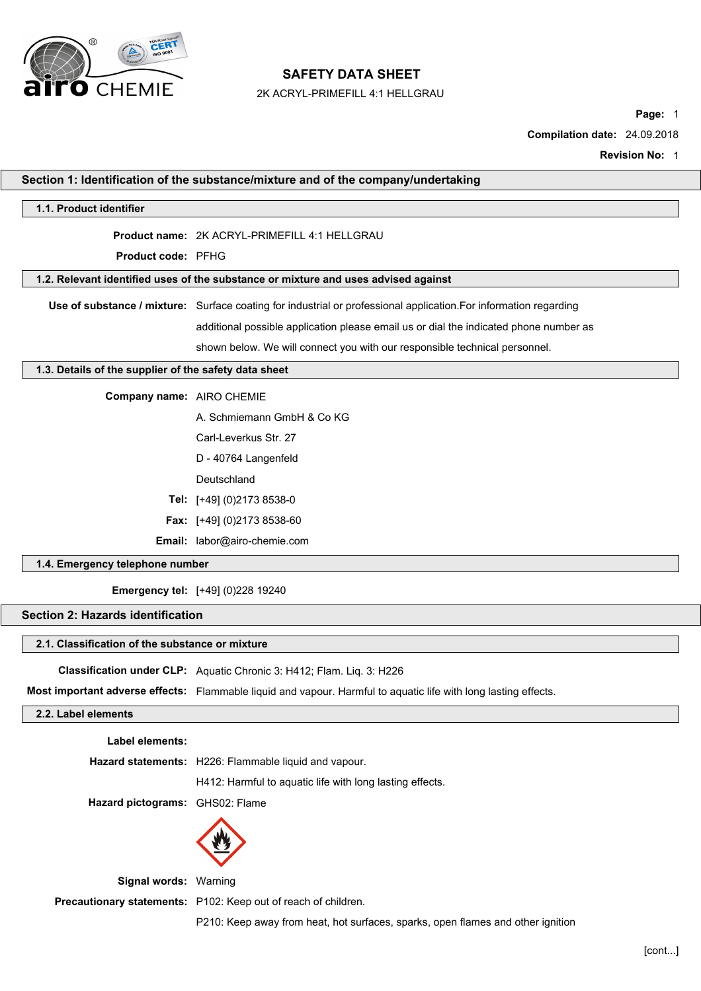

2K ACRYL-PRIMEFILL 4:1 HELLGRAU

**Page:** 1

**Compilation date:** 24.09.2018

**Revision No:** 1

|                                                       | Section 1: Identification of the substance/mixture and of the company/undertaking                                 |
|-------------------------------------------------------|-------------------------------------------------------------------------------------------------------------------|
| 1.1. Product identifier                               |                                                                                                                   |
|                                                       | Product name: 2K ACRYL-PRIMEFILL 4:1 HELLGRAU                                                                     |
| Product code: PFHG                                    |                                                                                                                   |
|                                                       | 1.2. Relevant identified uses of the substance or mixture and uses advised against                                |
|                                                       | Use of substance / mixture: Surface coating for industrial or professional application. For information regarding |
|                                                       | additional possible application please email us or dial the indicated phone number as                             |
|                                                       | shown below. We will connect you with our responsible technical personnel.                                        |
| 1.3. Details of the supplier of the safety data sheet |                                                                                                                   |
| Company name: AIRO CHEMIE                             |                                                                                                                   |
|                                                       | A. Schmiemann GmbH & Co KG                                                                                        |
|                                                       | Carl-Leverkus Str. 27                                                                                             |
|                                                       | D - 40764 Langenfeld                                                                                              |
|                                                       | Deutschland                                                                                                       |
|                                                       | Tel: [+49] (0)2173 8538-0                                                                                         |
|                                                       | Fax: [+49] (0)2173 8538-60                                                                                        |
|                                                       | Email: labor@airo-chemie.com                                                                                      |
| 1.4. Emergency telephone number                       |                                                                                                                   |
|                                                       | <b>Emergency tel:</b> [+49] (0)228 19240                                                                          |
| <b>Section 2: Hazards identification</b>              |                                                                                                                   |
| 2.1. Classification of the substance or mixture       |                                                                                                                   |
|                                                       | Classification under CLP: Aquatic Chronic 3: H412; Flam. Liq. 3: H226                                             |
|                                                       | Most important adverse effects: Flammable liquid and vapour. Harmful to aquatic life with long lasting effects.   |
| 2.2. Label elements                                   |                                                                                                                   |
| Label elements:                                       |                                                                                                                   |
|                                                       | Hazard statements: H226: Flammable liquid and vapour.                                                             |
|                                                       | H412: Harmful to aquatic life with long lasting effects.                                                          |
| Hazard pictograms: GHS02: Flame                       |                                                                                                                   |
|                                                       |                                                                                                                   |
|                                                       |                                                                                                                   |

**Signal words:** Warning

**Precautionary statements:** P102: Keep out of reach of children.

P210: Keep away from heat, hot surfaces, sparks, open flames and other ignition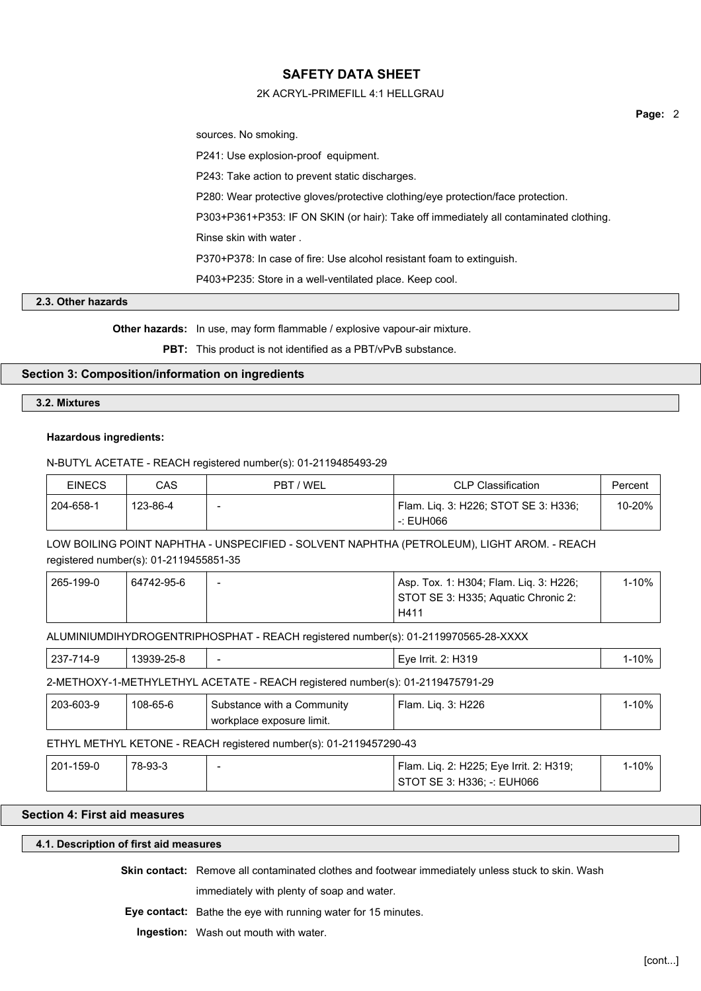## 2K ACRYL-PRIMEFILL 4:1 HELLGRAU

sources. No smoking.

P241: Use explosion-proof equipment.

P243: Take action to prevent static discharges.

P280: Wear protective gloves/protective clothing/eye protection/face protection.

P303+P361+P353: IF ON SKIN (or hair): Take off immediately all contaminated clothing.

Rinse skin with water .

P370+P378: In case of fire: Use alcohol resistant foam to extinguish.

P403+P235: Store in a well-ventilated place. Keep cool.

## **2.3. Other hazards**

**Other hazards:** In use, may form flammable / explosive vapour-air mixture.

**PBT:** This product is not identified as a PBT/vPvB substance.

## **Section 3: Composition/information on ingredients**

#### **3.2. Mixtures**

## **Hazardous ingredients:**

## N-BUTYL ACETATE - REACH registered number(s): 01-2119485493-29

| <b>EINECS</b> | CAS      | PBT / WEL | <b>CLP Classification</b>            | Percent |
|---------------|----------|-----------|--------------------------------------|---------|
| 204-658-1     | 123-86-4 | -         | Flam. Liq. 3: H226; STOT SE 3: H336; | 10-20%  |
|               |          |           | $-$ : EUH066                         |         |

LOW BOILING POINT NAPHTHA - UNSPECIFIED - SOLVENT NAPHTHA (PETROLEUM), LIGHT AROM. - REACH registered number(s): 01-2119455851-35

| 265-199-0 | 64742-95-6 | Asp. Tox. 1: H304; Flam. Lig. 3: H226; | 1-10% |
|-----------|------------|----------------------------------------|-------|
|           |            | STOT SE 3: H335; Aquatic Chronic 2:    |       |
|           |            | H411                                   |       |

ALUMINIUMDIHYDROGENTRIPHOSPHAT - REACH registered number(s): 01-2119970565-28-XXXX

| $237 -$<br>7410<br>14-5<br>ັ | 13939-25-ხ | - | H319<br>Eve<br>-Irrit.<br>. | 10% |
|------------------------------|------------|---|-----------------------------|-----|
|                              |            |   |                             |     |

#### 2-METHOXY-1-METHYLETHYL ACETATE - REACH registered number(s): 01-2119475791-29

| 203-603-9 | 108-65-6 | Substance with a Community  | 3: H226<br>Ham.<br>Lia<br>J. | 1-10% |
|-----------|----------|-----------------------------|------------------------------|-------|
|           |          | ' workplace exposure limit. |                              |       |

## ETHYL METHYL KETONE - REACH registered number(s): 01-2119457290-43

| 201-159-0 | 78-93-3 | Flam. Lig. 2: H225; Eye Irrit. 2: H319; | l-10% |  |
|-----------|---------|-----------------------------------------|-------|--|
|           |         | STOT SE 3: H336: -: EUH066              |       |  |

## **Section 4: First aid measures**

#### **4.1. Description of first aid measures**

**Skin contact:** Remove all contaminated clothes and footwear immediately unless stuck to skin. Wash immediately with plenty of soap and water.

**Eye contact:** Bathe the eye with running water for 15 minutes.

**Ingestion:** Wash out mouth with water.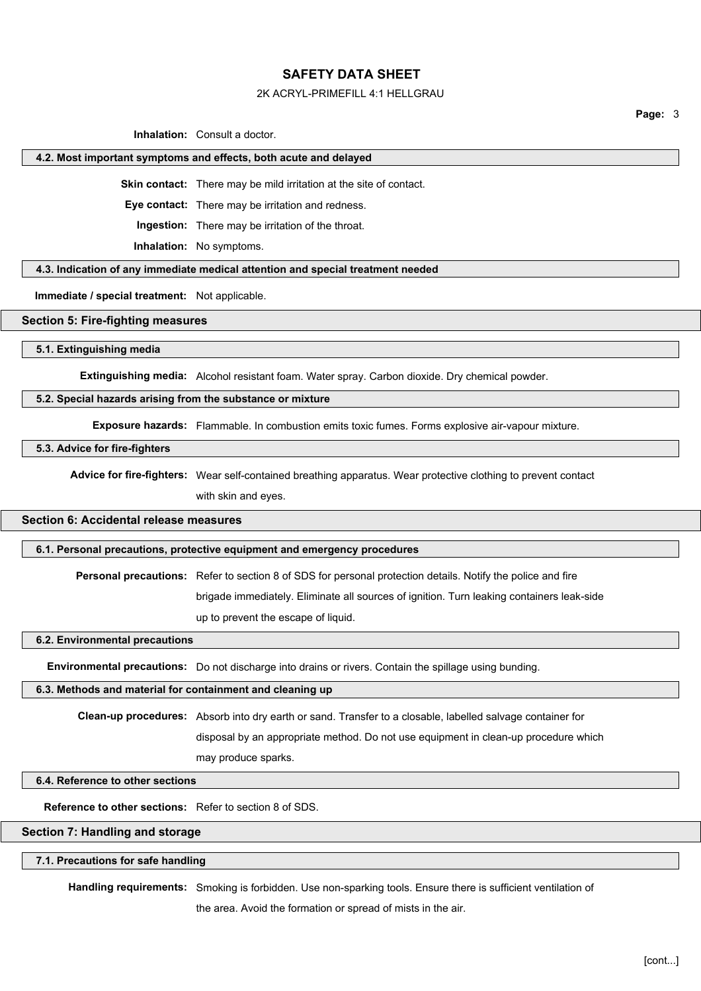#### 2K ACRYL-PRIMEFILL 4:1 HELLGRAU

**Page:** 3

**Inhalation:** Consult a doctor.

#### **4.2. Most important symptoms and effects, both acute and delayed**

**Skin contact:** There may be mild irritation at the site of contact.

**Eye contact:** There may be irritation and redness.

**Ingestion:** There may be irritation of the throat.

**Inhalation:** No symptoms.

**4.3. Indication of any immediate medical attention and special treatment needed**

**Immediate / special treatment:** Not applicable.

#### **Section 5: Fire-fighting measures**

**5.1. Extinguishing media**

**Extinguishing media:** Alcohol resistant foam. Water spray. Carbon dioxide. Dry chemical powder.

#### **5.2. Special hazards arising from the substance or mixture**

**Exposure hazards:** Flammable. In combustion emits toxic fumes. Forms explosive air-vapour mixture.

#### **5.3. Advice for fire-fighters**

**Advice for fire-fighters:** Wear self-contained breathing apparatus. Wear protective clothing to prevent contact

with skin and eyes.

# **Section 6: Accidental release measures**

#### **6.1. Personal precautions, protective equipment and emergency procedures**

**Personal precautions:** Refer to section 8 of SDS for personal protection details. Notify the police and fire

brigade immediately. Eliminate all sources of ignition. Turn leaking containers leak-side

up to prevent the escape of liquid.

**6.2. Environmental precautions**

**Environmental precautions:** Do not discharge into drains or rivers. Contain the spillage using bunding.

#### **6.3. Methods and material for containment and cleaning up**

**Clean-up procedures:** Absorb into dry earth or sand. Transfer to a closable, labelled salvage container for

disposal by an appropriate method. Do not use equipment in clean-up procedure which

may produce sparks.

## **6.4. Reference to other sections**

**Reference to other sections:** Refer to section 8 of SDS.

## **Section 7: Handling and storage**

#### **7.1. Precautions for safe handling**

**Handling requirements:** Smoking is forbidden. Use non-sparking tools. Ensure there is sufficient ventilation of

the area. Avoid the formation or spread of mists in the air.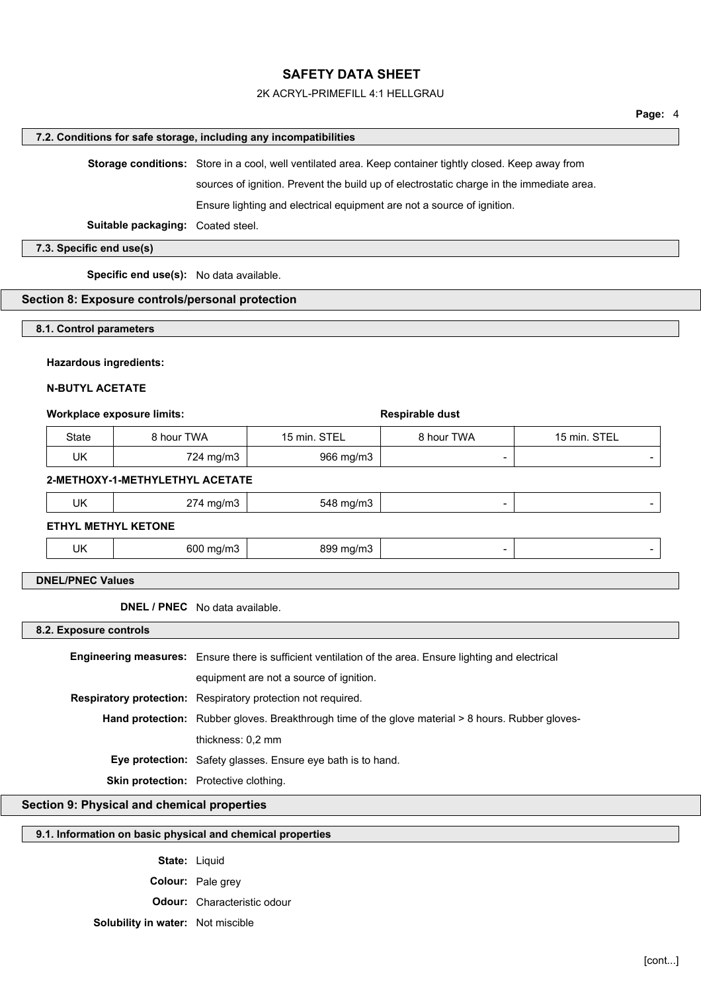### 2K ACRYL-PRIMEFILL 4:1 HELLGRAU

#### **7.2. Conditions for safe storage, including any incompatibilities**

**Storage conditions:** Store in a cool, well ventilated area. Keep container tightly closed. Keep away from

sources of ignition. Prevent the build up of electrostatic charge in the immediate area.

Ensure lighting and electrical equipment are not a source of ignition.

**Suitable packaging:** Coated steel.

**7.3. Specific end use(s)**

**Specific end use(s):** No data available.

#### **Section 8: Exposure controls/personal protection**

**8.1. Control parameters**

#### **Hazardous ingredients:**

#### **N-BUTYL ACETATE**

#### **Workplace exposure limits:**  $\bullet$  **Respirable dust**

| State | 8 hour TWA | 15 min. STEL | 8 hour TWA | 15 min. STEL |
|-------|------------|--------------|------------|--------------|
| UK    | 724 mg/m3  | 966 mg/m3    |            |              |

#### **2-METHOXY-1-METHYLETHYL ACETATE**

|  | UK | mg/m3<br>$21 - 11$<br>ີ | 8 ma/m3<br>אבה |  |  |
|--|----|-------------------------|----------------|--|--|
|--|----|-------------------------|----------------|--|--|

**ETHYL METHYL KETONE**

| UK<br>.<br>.<br>- |
|-------------------|
|-------------------|

## **DNEL/PNEC Values**

**DNEL / PNEC** No data available.

**8.2. Exposure controls**

**Engineering measures:** Ensure there is sufficient ventilation of the area. Ensure lighting and electrical equipment are not a source of ignition. **Respiratory protection:** Respiratory protection not required. Hand protection: Rubber gloves. Breakthrough time of the glove material > 8 hours. Rubber glovesthickness: 0,2 mm **Eye protection:** Safety glasses. Ensure eye bath is to hand. **Skin protection:** Protective clothing.

## **Section 9: Physical and chemical properties**

### **9.1. Information on basic physical and chemical properties**

**State:** Liquid **Colour:** Pale grey **Odour:** Characteristic odour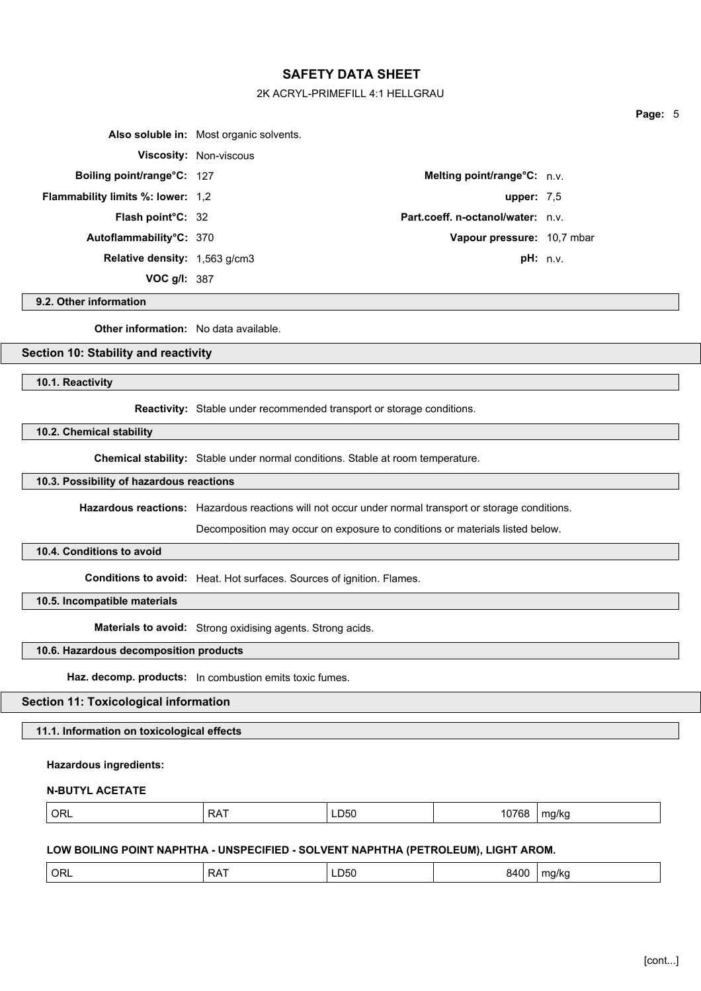#### 2K ACRYL-PRIMEFILL 4:1 HELLGRAU

|                                          | Also soluble in: Most organic solvents. |                                       |  |
|------------------------------------------|-----------------------------------------|---------------------------------------|--|
|                                          | <b>Viscosity: Non-viscous</b>           |                                       |  |
| <b>Boiling point/range°C: 127</b>        |                                         | <b>Melting point/range °C:</b> $n.v.$ |  |
| <b>Flammability limits %: lower: 1,2</b> |                                         | upper: $7.5$                          |  |
| <b>Flash point C: 32</b>                 |                                         | Part.coeff. n-octanol/water: n.v.     |  |
| Autoflammability°C: 370                  |                                         | Vapour pressure: 10,7 mbar            |  |
| Relative density: 1,563 g/cm3            |                                         | pH: n.v.                              |  |
| VOC $g/l: 387$                           |                                         |                                       |  |

## **9.2. Other information**

**Other information:** No data available.

## **Section 10: Stability and reactivity**

**10.1. Reactivity**

**Reactivity:** Stable under recommended transport or storage conditions.

**10.2. Chemical stability**

**Chemical stability:** Stable under normal conditions. Stable at room temperature.

## **10.3. Possibility of hazardous reactions**

**Hazardous reactions:** Hazardous reactions will not occur under normal transport or storage conditions.

Decomposition may occur on exposure to conditions or materials listed below.

## **10.4. Conditions to avoid**

**Conditions to avoid:** Heat. Hot surfaces. Sources of ignition. Flames.

**10.5. Incompatible materials**

**Materials to avoid:** Strong oxidising agents. Strong acids.

## **10.6. Hazardous decomposition products**

**Haz. decomp. products:** In combustion emits toxic fumes.

# **Section 11: Toxicological information**

**11.1. Information on toxicological effects**

## **Hazardous ingredients:**

### **N-BUTYL ACETATE**

|--|

#### **LOW BOILING POINT NAPHTHA - UNSPECIFIED - SOLVENT NAPHTHA (PETROLEUM), LIGHT AROM.**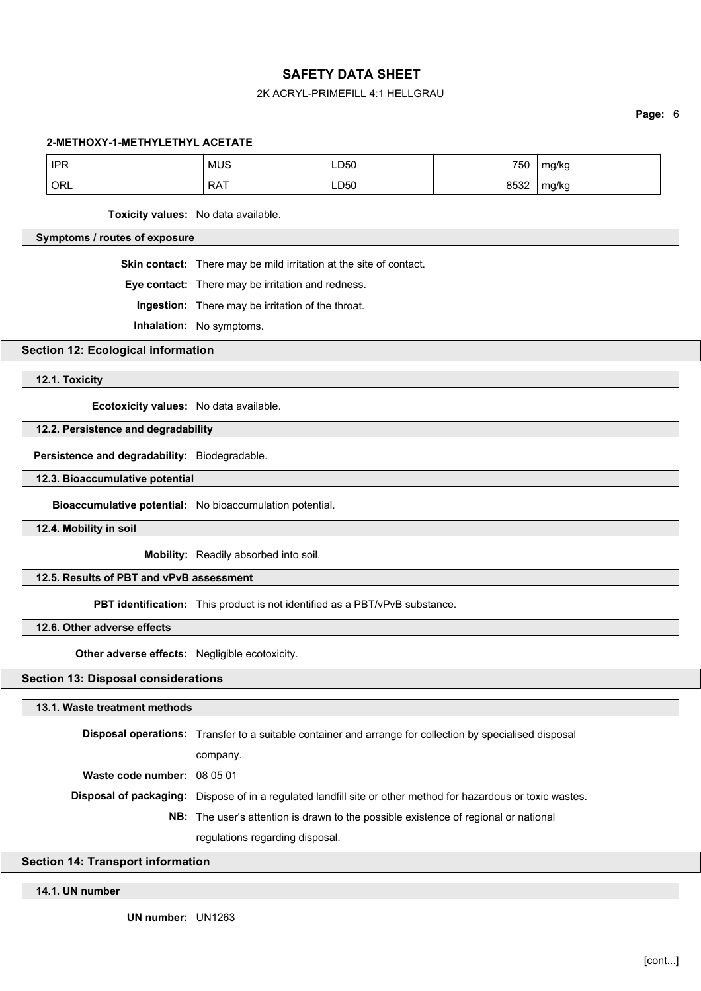## 2K ACRYL-PRIMEFILL 4:1 HELLGRAU

**Page:** 6

#### **2-METHOXY-1-METHYLETHYL ACETATE**

| <b>IPR</b> | <b>MUS</b> | LD50       | 750  | mg/kg |
|------------|------------|------------|------|-------|
| ORL        | <b>RAT</b> | LD50<br>__ | 8532 | mg/kg |

**Toxicity values:** No data available.

## **Symptoms / routes of exposure**

**Skin contact:** There may be mild irritation at the site of contact.

**Eye contact:** There may be irritation and redness.

**Ingestion:** There may be irritation of the throat.

**Inhalation:** No symptoms.

**Section 12: Ecological information**

**12.1. Toxicity**

**Ecotoxicity values:** No data available.

#### **12.2. Persistence and degradability**

**Persistence and degradability:** Biodegradable.

#### **12.3. Bioaccumulative potential**

**Bioaccumulative potential:** No bioaccumulation potential.

**12.4. Mobility in soil**

**Mobility:** Readily absorbed into soil.

## **12.5. Results of PBT and vPvB assessment**

**PBT identification:** This product is not identified as a PBT/vPvB substance.

**12.6. Other adverse effects**

**Other adverse effects:** Negligible ecotoxicity.

## **Section 13: Disposal considerations**

#### **13.1. Waste treatment methods**

**Disposal operations:** Transfer to a suitable container and arrange for collection by specialised disposal company. **Waste code number:** 08 05 01 **Disposal of packaging:** Dispose of in a regulated landfill site or other method for hazardous or toxic wastes. **NB:** The user's attention is drawn to the possible existence of regional or national regulations regarding disposal.

## **Section 14: Transport information**

#### **14.1. UN number**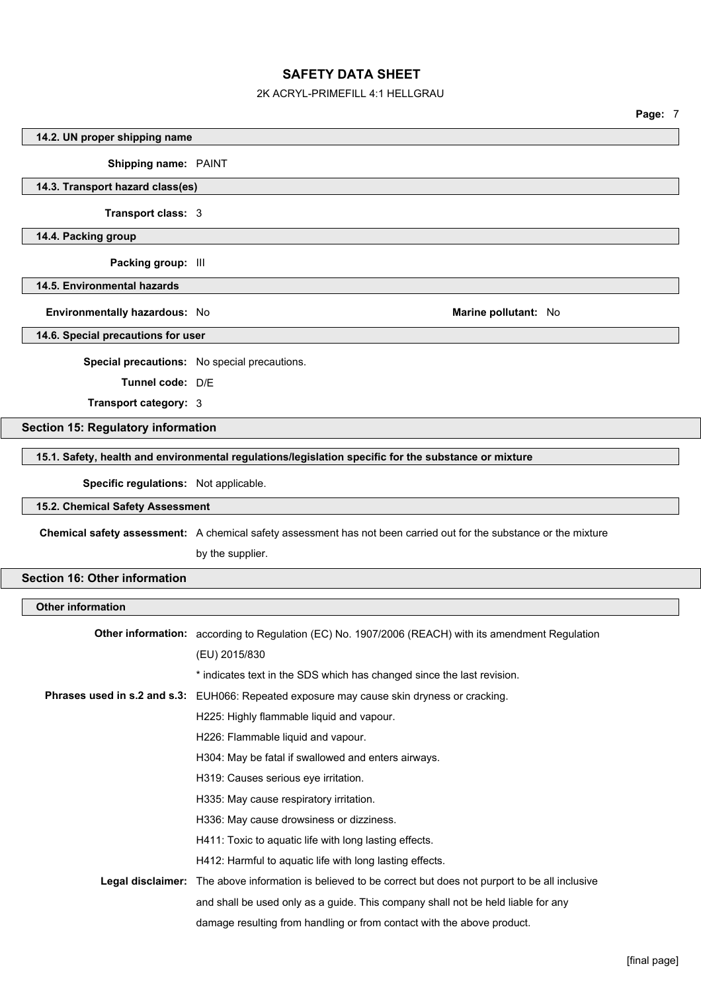## 2K ACRYL-PRIMEFILL 4:1 HELLGRAU

| 14.2. UN proper shipping name             |                                                                                                                                        |
|-------------------------------------------|----------------------------------------------------------------------------------------------------------------------------------------|
| Shipping name: PAINT                      |                                                                                                                                        |
| 14.3. Transport hazard class(es)          |                                                                                                                                        |
| Transport class: 3                        |                                                                                                                                        |
| 14.4. Packing group                       |                                                                                                                                        |
| Packing group: III                        |                                                                                                                                        |
| 14.5. Environmental hazards               |                                                                                                                                        |
| Environmentally hazardous: No             | Marine pollutant: No                                                                                                                   |
| 14.6. Special precautions for user        |                                                                                                                                        |
|                                           | Special precautions: No special precautions.                                                                                           |
| Tunnel code: D/E                          |                                                                                                                                        |
| Transport category: 3                     |                                                                                                                                        |
| <b>Section 15: Regulatory information</b> |                                                                                                                                        |
|                                           | 15.1. Safety, health and environmental regulations/legislation specific for the substance or mixture                                   |
| Specific regulations: Not applicable.     |                                                                                                                                        |
| 15.2. Chemical Safety Assessment          |                                                                                                                                        |
|                                           |                                                                                                                                        |
|                                           | Chemical safety assessment: A chemical safety assessment has not been carried out for the substance or the mixture<br>by the supplier. |
|                                           |                                                                                                                                        |
| <b>Section 16: Other information</b>      |                                                                                                                                        |
| <b>Other information</b>                  |                                                                                                                                        |
|                                           | Other information: according to Regulation (EC) No. 1907/2006 (REACH) with its amendment Regulation                                    |
|                                           | (EU) 2015/830                                                                                                                          |
|                                           | * indicates text in the SDS which has changed since the last revision.                                                                 |
|                                           | Phrases used in s.2 and s.3: EUH066: Repeated exposure may cause skin dryness or cracking.                                             |
|                                           | H225: Highly flammable liquid and vapour.                                                                                              |
|                                           | H226: Flammable liquid and vapour.                                                                                                     |
|                                           | H304: May be fatal if swallowed and enters airways.                                                                                    |
|                                           | H319: Causes serious eye irritation.                                                                                                   |
|                                           | H335: May cause respiratory irritation.                                                                                                |
|                                           | H336: May cause drowsiness or dizziness.                                                                                               |
|                                           | H411: Toxic to aquatic life with long lasting effects.                                                                                 |
|                                           | H412: Harmful to aquatic life with long lasting effects.                                                                               |
|                                           | <b>Legal disclaimer:</b> The above information is believed to be correct but does not purport to be all inclusive                      |
|                                           | and shall be used only as a guide. This company shall not be held liable for any                                                       |
|                                           | damage resulting from handling or from contact with the above product.                                                                 |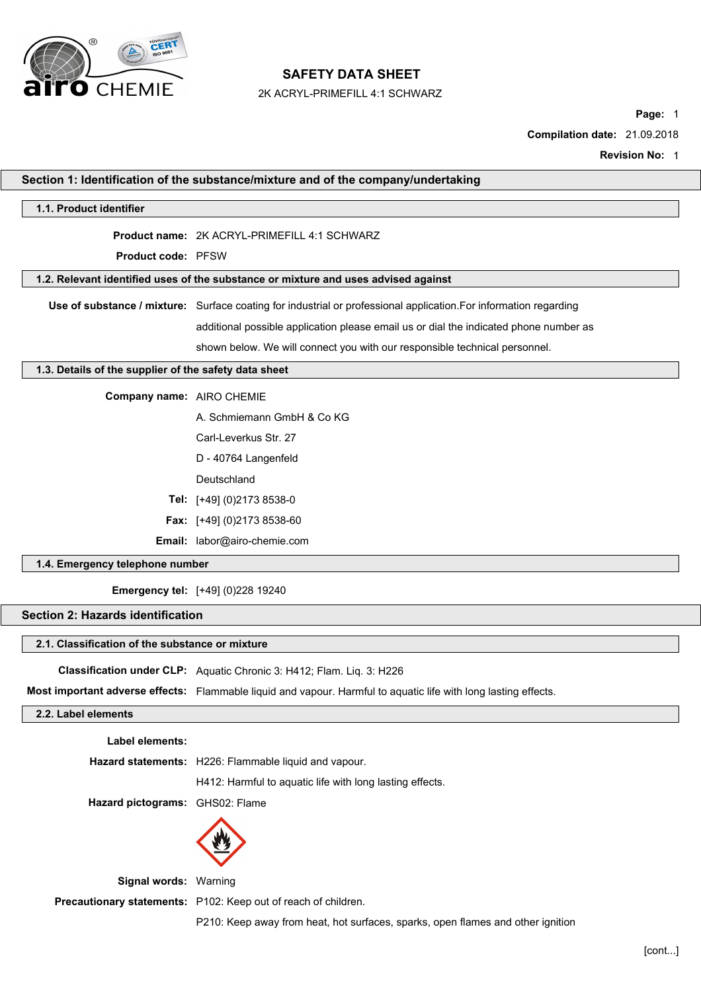

2K ACRYL-PRIMEFILL 4:1 SCHWARZ

**Page:** 1

**Compilation date:** 21.09.2018

**Revision No:** 1

|                                                       | Section 1: Identification of the substance/mixture and of the company/undertaking                                 |
|-------------------------------------------------------|-------------------------------------------------------------------------------------------------------------------|
| 1.1. Product identifier                               |                                                                                                                   |
|                                                       | Product name: 2K ACRYL-PRIMEFILL 4:1 SCHWARZ                                                                      |
| Product code: PFSW                                    |                                                                                                                   |
|                                                       | 1.2. Relevant identified uses of the substance or mixture and uses advised against                                |
|                                                       | Use of substance / mixture: Surface coating for industrial or professional application. For information regarding |
|                                                       | additional possible application please email us or dial the indicated phone number as                             |
|                                                       | shown below. We will connect you with our responsible technical personnel.                                        |
| 1.3. Details of the supplier of the safety data sheet |                                                                                                                   |
| Company name: AIRO CHEMIE                             |                                                                                                                   |
|                                                       | A. Schmiemann GmbH & Co KG                                                                                        |
|                                                       | Carl-Leverkus Str. 27                                                                                             |
|                                                       | D - 40764 Langenfeld                                                                                              |
|                                                       | Deutschland                                                                                                       |
|                                                       | Tel: [+49] (0)2173 8538-0                                                                                         |
|                                                       | Fax: [+49] (0)2173 8538-60                                                                                        |
|                                                       | Email: labor@airo-chemie.com                                                                                      |
| 1.4. Emergency telephone number                       |                                                                                                                   |
|                                                       | <b>Emergency tel:</b> [+49] (0)228 19240                                                                          |
| <b>Section 2: Hazards identification</b>              |                                                                                                                   |
| 2.1. Classification of the substance or mixture       |                                                                                                                   |
|                                                       | Classification under CLP: Aquatic Chronic 3: H412; Flam. Liq. 3: H226                                             |
|                                                       | Most important adverse effects: Flammable liquid and vapour. Harmful to aquatic life with long lasting effects.   |
| 2.2. Label elements                                   |                                                                                                                   |
| Label elements:                                       |                                                                                                                   |
|                                                       | Hazard statements: H226: Flammable liquid and vapour.                                                             |
|                                                       | H412: Harmful to aquatic life with long lasting effects.                                                          |
| Hazard pictograms: GHS02: Flame                       |                                                                                                                   |
|                                                       |                                                                                                                   |
|                                                       |                                                                                                                   |

**Signal words:** Warning

**Precautionary statements:** P102: Keep out of reach of children.

P210: Keep away from heat, hot surfaces, sparks, open flames and other ignition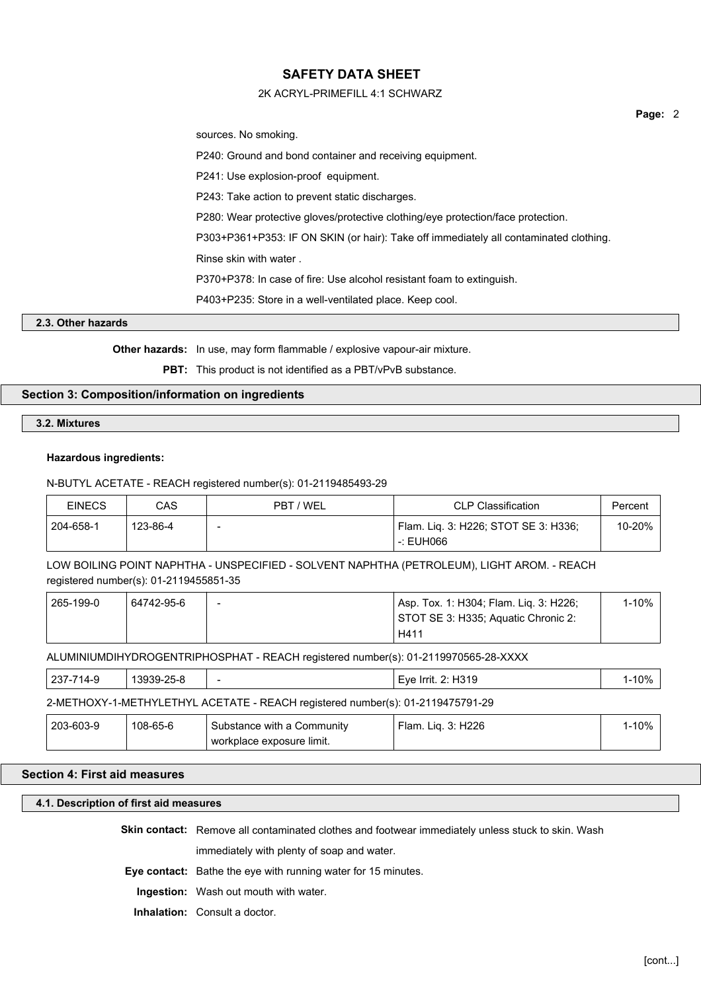## 2K ACRYL-PRIMEFILL 4:1 SCHWARZ

sources. No smoking.

P240: Ground and bond container and receiving equipment.

P241: Use explosion-proof equipment.

P243: Take action to prevent static discharges.

P280: Wear protective gloves/protective clothing/eye protection/face protection.

P303+P361+P353: IF ON SKIN (or hair): Take off immediately all contaminated clothing.

Rinse skin with water .

P370+P378: In case of fire: Use alcohol resistant foam to extinguish.

P403+P235: Store in a well-ventilated place. Keep cool.

#### **2.3. Other hazards**

**Other hazards:** In use, may form flammable / explosive vapour-air mixture.

**PBT:** This product is not identified as a PBT/vPvB substance.

## **Section 3: Composition/information on ingredients**

**3.2. Mixtures**

#### **Hazardous ingredients:**

## N-BUTYL ACETATE - REACH registered number(s): 01-2119485493-29

| <b>EINECS</b> | CAS      | PBT / WEL | <b>CLP Classification</b>            | Percent |
|---------------|----------|-----------|--------------------------------------|---------|
| 204-658-1     | 123-86-4 | -         | Flam. Lig. 3: H226; STOT SE 3: H336; | 10-20%  |
|               |          |           | -: EUH066                            |         |

LOW BOILING POINT NAPHTHA - UNSPECIFIED - SOLVENT NAPHTHA (PETROLEUM), LIGHT AROM. - REACH registered number(s): 01-2119455851-35

| 265-199-0 | 64742-95-6 | $\overline{\phantom{0}}$ | Asp. Tox. 1: H304; Flam. Lig. 3: H226; | 1-10% |
|-----------|------------|--------------------------|----------------------------------------|-------|
|           |            |                          | STOT SE 3: H335; Aquatic Chronic 2:    |       |
|           |            |                          | H411                                   |       |

ALUMINIUMDIHYDROGENTRIPHOSPHAT - REACH registered number(s): 01-2119970565-28-XXXX

| 237-714-9                                                                      | 13939-25-8 | -                          | Eye Irrit. 2: H319              | 1-10%     |
|--------------------------------------------------------------------------------|------------|----------------------------|---------------------------------|-----------|
| 2-METHOXY-1-METHYLETHYL ACETATE - REACH registered number(s): 01-2119475791-29 |            |                            |                                 |           |
| 203-603-9                                                                      | 108-65-6   | Substance with a Community | <sup>'</sup> Flam. Lig. 3: H226 | $1 - 10%$ |
|                                                                                |            | workplace exposure limit.  |                                 |           |

#### **Section 4: First aid measures**

## **4.1. Description of first aid measures**

**Skin contact:** Remove all contaminated clothes and footwear immediately unless stuck to skin. Wash

immediately with plenty of soap and water.

**Eye contact:** Bathe the eye with running water for 15 minutes.

**Ingestion:** Wash out mouth with water.

**Inhalation:** Consult a doctor.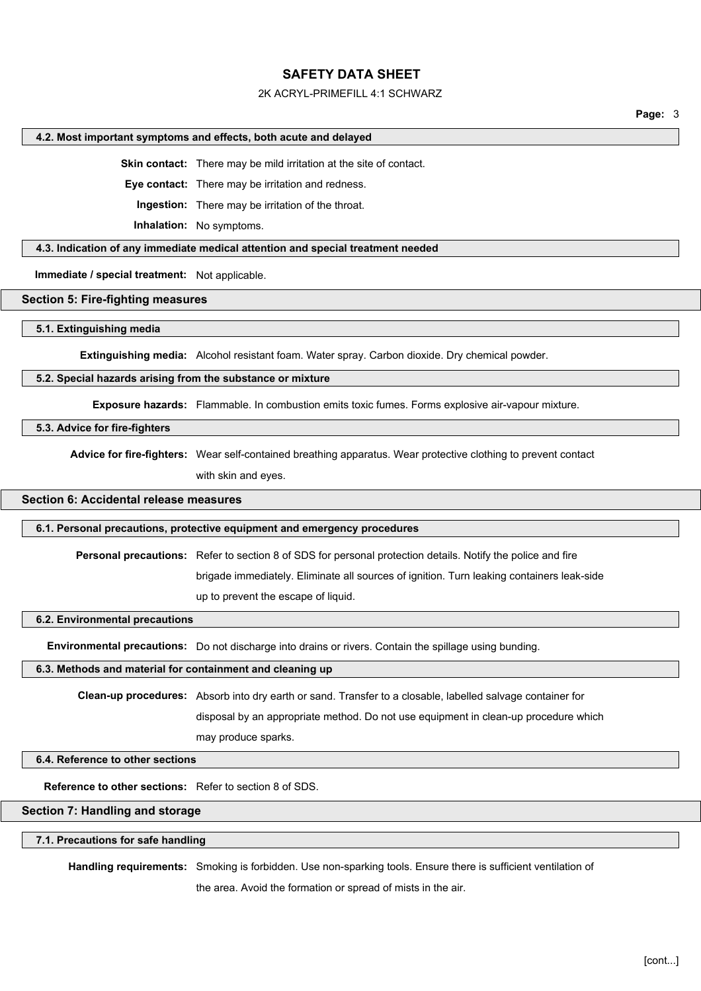#### 2K ACRYL-PRIMEFILL 4:1 SCHWARZ

**Page:** 3

#### **4.2. Most important symptoms and effects, both acute and delayed**

**Skin contact:** There may be mild irritation at the site of contact.

**Eye contact:** There may be irritation and redness.

**Ingestion:** There may be irritation of the throat.

**Inhalation:** No symptoms.

#### **4.3. Indication of any immediate medical attention and special treatment needed**

**Immediate / special treatment:** Not applicable.

#### **Section 5: Fire-fighting measures**

#### **5.1. Extinguishing media**

**Extinguishing media:** Alcohol resistant foam. Water spray. Carbon dioxide. Dry chemical powder.

## **5.2. Special hazards arising from the substance or mixture**

**Exposure hazards:** Flammable. In combustion emits toxic fumes. Forms explosive air-vapour mixture.

#### **5.3. Advice for fire-fighters**

**Advice for fire-fighters:** Wear self-contained breathing apparatus. Wear protective clothing to prevent contact with skin and eyes.

### **Section 6: Accidental release measures**

#### **6.1. Personal precautions, protective equipment and emergency procedures**

**Personal precautions:** Refer to section 8 of SDS for personal protection details. Notify the police and fire

brigade immediately. Eliminate all sources of ignition. Turn leaking containers leak-side

up to prevent the escape of liquid.

#### **6.2. Environmental precautions**

**Environmental precautions:** Do not discharge into drains or rivers. Contain the spillage using bunding.

## **6.3. Methods and material for containment and cleaning up**

**Clean-up procedures:** Absorb into dry earth or sand. Transfer to a closable, labelled salvage container for

disposal by an appropriate method. Do not use equipment in clean-up procedure which

may produce sparks.

#### **6.4. Reference to other sections**

**Reference to other sections:** Refer to section 8 of SDS.

#### **Section 7: Handling and storage**

#### **7.1. Precautions for safe handling**

**Handling requirements:** Smoking is forbidden. Use non-sparking tools. Ensure there is sufficient ventilation of

the area. Avoid the formation or spread of mists in the air.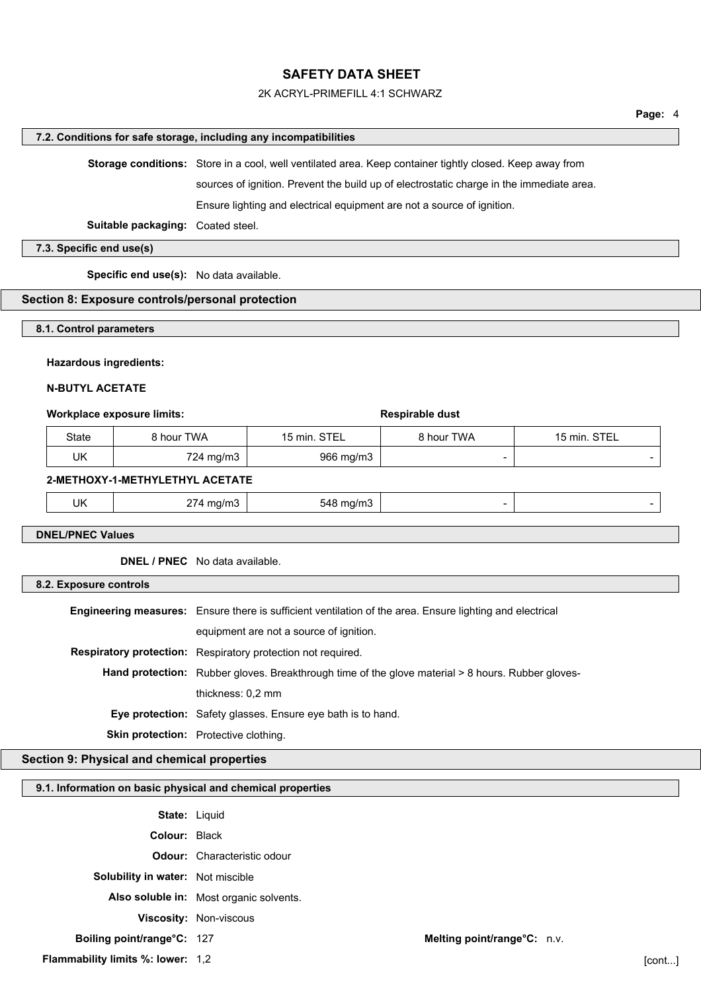### 2K ACRYL-PRIMEFILL 4:1 SCHWARZ

#### **7.2. Conditions for safe storage, including any incompatibilities**

**Storage conditions:** Store in a cool, well ventilated area. Keep container tightly closed. Keep away from

sources of ignition. Prevent the build up of electrostatic charge in the immediate area.

Ensure lighting and electrical equipment are not a source of ignition.

**Suitable packaging:** Coated steel.

## **7.3. Specific end use(s)**

**Specific end use(s):** No data available.

## **Section 8: Exposure controls/personal protection**

#### **8.1. Control parameters**

#### **Hazardous ingredients:**

#### **N-BUTYL ACETATE**

#### **Workplace exposure limits: Respirable dust Respirable dust**

| State | <b>8 hour TWA</b> | 15 min. STEL | 8 hour TWA | 15 min. STEL |
|-------|-------------------|--------------|------------|--------------|
| UK    | 724 mg/m3         | 966 mg/m3    | -          |              |

#### **2-METHOXY-1-METHYLETHYL ACETATE**

| UK<br>--<br>. <i>.</i><br>'nд.<br>палнэ.<br>.<br>. ۱۱۷<br>--- |  |  |
|---------------------------------------------------------------|--|--|
|---------------------------------------------------------------|--|--|

**DNEL/PNEC Values**

**DNEL / PNEC** No data available.

#### **8.2. Exposure controls**

| <b>Engineering measures:</b> Ensure there is sufficient ventilation of the area. Ensure lighting and electrical |
|-----------------------------------------------------------------------------------------------------------------|
| equipment are not a source of ignition.                                                                         |
| <b>Respiratory protection:</b> Respiratory protection not required.                                             |
| <b>Hand protection:</b> Rubber gloves. Breakthrough time of the glove material > 8 hours. Rubber gloves-        |
| thickness: 0.2 mm                                                                                               |
| <b>Eye protection:</b> Safety glasses. Ensure eye bath is to hand.                                              |
| <b>Skin protection:</b> Protective clothing.                                                                    |

#### **Section 9: Physical and chemical properties**

#### **9.1. Information on basic physical and chemical properties**

| <b>State: Liquid</b>              |                                         |                             |  |
|-----------------------------------|-----------------------------------------|-----------------------------|--|
| <b>Colour: Black</b>              |                                         |                             |  |
|                                   | <b>Odour:</b> Characteristic odour      |                             |  |
| Solubility in water: Not miscible |                                         |                             |  |
|                                   | Also soluble in: Most organic solvents. |                             |  |
|                                   | <b>Viscosity: Non-viscous</b>           |                             |  |
| Boiling point/range°C: 127        |                                         | Melting point/range°C: n.v. |  |
|                                   |                                         |                             |  |

**Flammability limits %: lower:** 1,2 [cont...]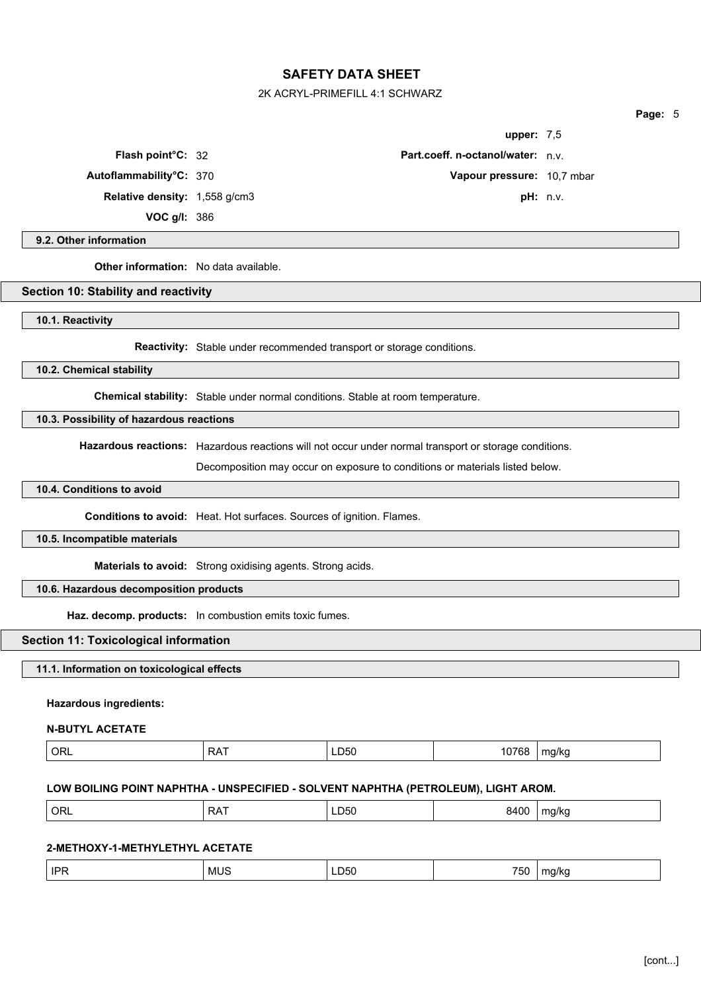2K ACRYL-PRIMEFILL 4:1 SCHWARZ

| upper: $7,5$                             |          |
|------------------------------------------|----------|
| <b>Part.coeff. n-octanol/water:</b> n.v. |          |
| Vapour pressure: 10,7 mbar               |          |
|                                          | pH: n.v. |
|                                          |          |

**Page:** 5

**9.2. Other information**

**Other information:** No data available.

**Relative density:** 1,558 g/cm3 **VOC g/l:** 386

**Flash point°C: 32** 

**Autoflammability°C: 370** 

## **Section 10: Stability and reactivity**

**10.1. Reactivity**

**Reactivity:** Stable under recommended transport or storage conditions.

**10.2. Chemical stability**

**Chemical stability:** Stable under normal conditions. Stable at room temperature.

## **10.3. Possibility of hazardous reactions**

**Hazardous reactions:** Hazardous reactions will not occur under normal transport or storage conditions.

Decomposition may occur on exposure to conditions or materials listed below.

#### **10.4. Conditions to avoid**

**Conditions to avoid:** Heat. Hot surfaces. Sources of ignition. Flames.

#### **10.5. Incompatible materials**

**Materials to avoid:** Strong oxidising agents. Strong acids.

## **10.6. Hazardous decomposition products**

**Haz. decomp. products:** In combustion emits toxic fumes.

#### **Section 11: Toxicological information**

## **11.1. Information on toxicological effects**

#### **Hazardous ingredients:**

#### **N-BUTYL ACETATE**

| $ $ ORL |       |
|---------|-------|
| - - -   | 10768 |
| LD50    |       |
| RA.     | ma/ka |

#### **LOW BOILING POINT NAPHTHA - UNSPECIFIED - SOLVENT NAPHTHA (PETROLEUM), LIGHT AROM.**

| ORL<br>.<br>8400<br>$- -$<br>∩פ<br>ma/ka<br>LD50<br>ורש<br>____<br>. . |  |
|------------------------------------------------------------------------|--|
|------------------------------------------------------------------------|--|

## **2-METHOXY-1-METHYLETHYL ACETATE**

| IPF<br>MU.<br>' D50 | $- - -$<br>ma/kc<br>'50<br>$ -$<br>. |
|---------------------|--------------------------------------|
|---------------------|--------------------------------------|

## [cont...]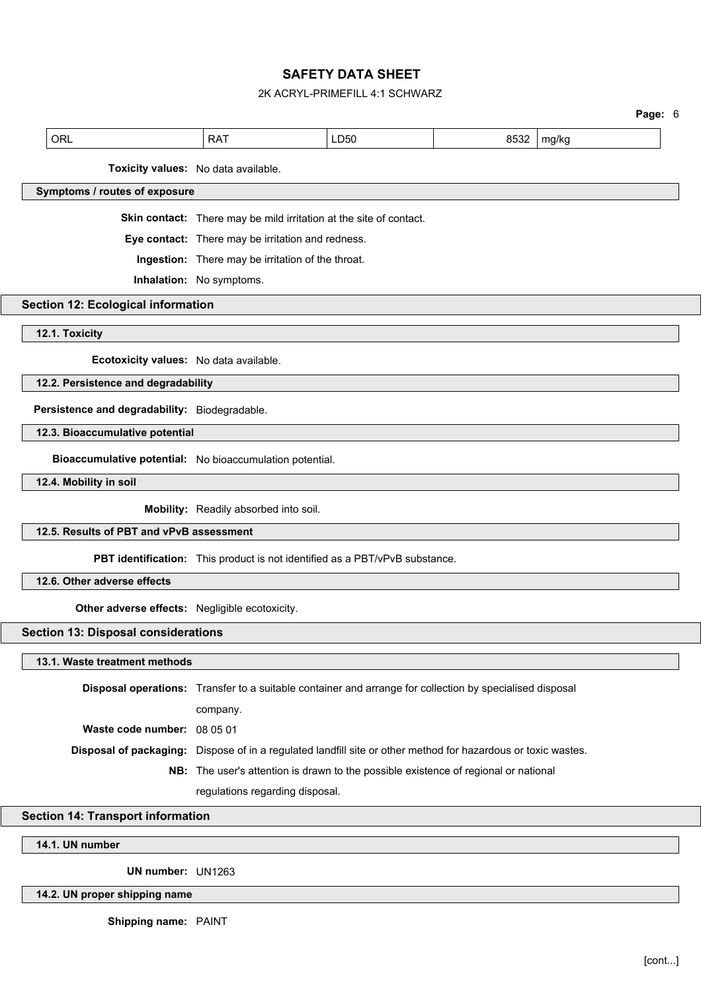## 2K ACRYL-PRIMEFILL 4:1 SCHWARZ

**Page:** 6

| <b>ORL</b>                                               | <b>RAT</b>                                                                                                    | LD50 | 8532 | mg/kg |  |
|----------------------------------------------------------|---------------------------------------------------------------------------------------------------------------|------|------|-------|--|
|                                                          | Toxicity values: No data available.                                                                           |      |      |       |  |
| Symptoms / routes of exposure                            |                                                                                                               |      |      |       |  |
|                                                          | Skin contact: There may be mild irritation at the site of contact.                                            |      |      |       |  |
|                                                          | Eye contact: There may be irritation and redness.                                                             |      |      |       |  |
|                                                          | Ingestion: There may be irritation of the throat.                                                             |      |      |       |  |
|                                                          | Inhalation: No symptoms.                                                                                      |      |      |       |  |
| <b>Section 12: Ecological information</b>                |                                                                                                               |      |      |       |  |
| 12.1. Toxicity                                           |                                                                                                               |      |      |       |  |
| Ecotoxicity values: No data available.                   |                                                                                                               |      |      |       |  |
| 12.2. Persistence and degradability                      |                                                                                                               |      |      |       |  |
| Persistence and degradability: Biodegradable.            |                                                                                                               |      |      |       |  |
| 12.3. Bioaccumulative potential                          |                                                                                                               |      |      |       |  |
| Bioaccumulative potential: No bioaccumulation potential. |                                                                                                               |      |      |       |  |
| 12.4. Mobility in soil                                   |                                                                                                               |      |      |       |  |
|                                                          | Mobility: Readily absorbed into soil.                                                                         |      |      |       |  |
| 12.5. Results of PBT and vPvB assessment                 |                                                                                                               |      |      |       |  |
|                                                          | PBT identification: This product is not identified as a PBT/vPvB substance.                                   |      |      |       |  |
| 12.6. Other adverse effects                              |                                                                                                               |      |      |       |  |
| Other adverse effects: Negligible ecotoxicity.           |                                                                                                               |      |      |       |  |
| <b>Section 13: Disposal considerations</b>               |                                                                                                               |      |      |       |  |
| 13.1. Waste treatment methods                            |                                                                                                               |      |      |       |  |
|                                                          | Disposal operations: Transfer to a suitable container and arrange for collection by specialised disposal      |      |      |       |  |
|                                                          | company.                                                                                                      |      |      |       |  |
| Waste code number: 08 05 01                              |                                                                                                               |      |      |       |  |
|                                                          | Disposal of packaging: Dispose of in a regulated landfill site or other method for hazardous or toxic wastes. |      |      |       |  |
|                                                          | NB: The user's attention is drawn to the possible existence of regional or national                           |      |      |       |  |
|                                                          | regulations regarding disposal.                                                                               |      |      |       |  |
| <b>Section 14: Transport information</b>                 |                                                                                                               |      |      |       |  |
|                                                          |                                                                                                               |      |      |       |  |
| 14.1. UN number                                          |                                                                                                               |      |      |       |  |

# **UN number:** UN1263

# **14.2. UN proper shipping name**

**Shipping name:** PAINT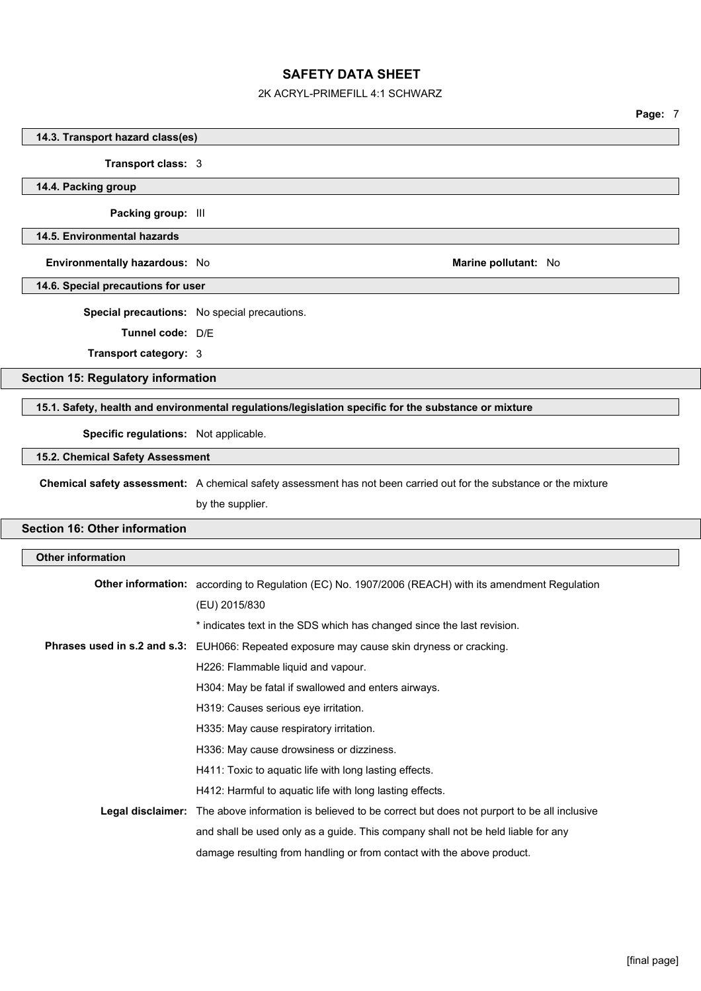## 2K ACRYL-PRIMEFILL 4:1 SCHWARZ

**Page:** 7

|                                           |                                                                                                                    | raye. <i>I</i> |
|-------------------------------------------|--------------------------------------------------------------------------------------------------------------------|----------------|
| 14.3. Transport hazard class(es)          |                                                                                                                    |                |
| Transport class: 3                        |                                                                                                                    |                |
| 14.4. Packing group                       |                                                                                                                    |                |
| Packing group: III                        |                                                                                                                    |                |
| 14.5. Environmental hazards               |                                                                                                                    |                |
|                                           |                                                                                                                    |                |
| Environmentally hazardous: No             | Marine pollutant: No                                                                                               |                |
| 14.6. Special precautions for user        |                                                                                                                    |                |
|                                           | Special precautions: No special precautions.                                                                       |                |
| Tunnel code: D/E                          |                                                                                                                    |                |
| Transport category: 3                     |                                                                                                                    |                |
| <b>Section 15: Regulatory information</b> |                                                                                                                    |                |
|                                           | 15.1. Safety, health and environmental regulations/legislation specific for the substance or mixture               |                |
|                                           |                                                                                                                    |                |
| Specific regulations: Not applicable.     |                                                                                                                    |                |
| 15.2. Chemical Safety Assessment          |                                                                                                                    |                |
|                                           | Chemical safety assessment: A chemical safety assessment has not been carried out for the substance or the mixture |                |
|                                           | by the supplier.                                                                                                   |                |
| <b>Section 16: Other information</b>      |                                                                                                                    |                |
| <b>Other information</b>                  |                                                                                                                    |                |
|                                           |                                                                                                                    |                |
|                                           | Other information: according to Regulation (EC) No. 1907/2006 (REACH) with its amendment Regulation                |                |
|                                           | (EU) 2015/830                                                                                                      |                |
|                                           | * indicates text in the SDS which has changed since the last revision.                                             |                |
|                                           | <b>Phrases used in s.2 and s.3:</b> EUH066: Repeated exposure may cause skin dryness or cracking.                  |                |
|                                           | H226: Flammable liquid and vapour.                                                                                 |                |
|                                           | H304: May be fatal if swallowed and enters airways.                                                                |                |
|                                           | H319: Causes serious eye irritation.                                                                               |                |
|                                           | H335: May cause respiratory irritation.                                                                            |                |
|                                           | H336: May cause drowsiness or dizziness.                                                                           |                |
|                                           | H411: Toxic to aquatic life with long lasting effects.                                                             |                |
|                                           | H412: Harmful to aquatic life with long lasting effects.                                                           |                |
|                                           | Legal disclaimer: The above information is believed to be correct but does not purport to be all inclusive         |                |
|                                           | and shall be used only as a guide. This company shall not be held liable for any                                   |                |
|                                           | damage resulting from handling or from contact with the above product.                                             |                |
|                                           |                                                                                                                    |                |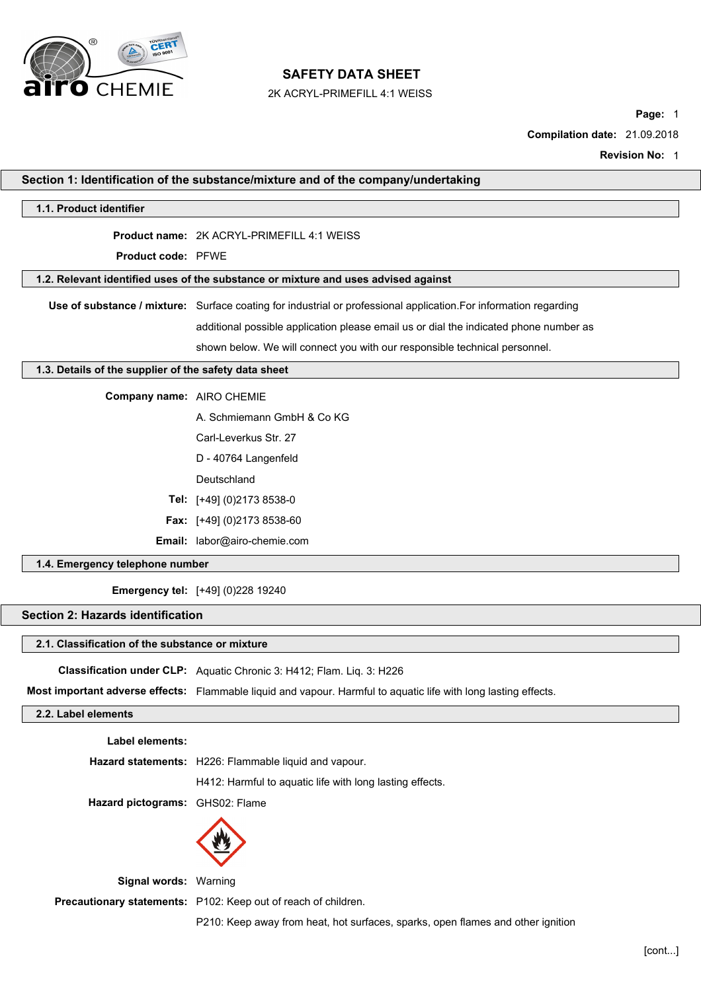

2K ACRYL-PRIMEFILL 4:1 WEISS

**Page:** 1

**Compilation date:** 21.09.2018

**Revision No:** 1

|                                                       | Section 1: Identification of the substance/mixture and of the company/undertaking                                 |
|-------------------------------------------------------|-------------------------------------------------------------------------------------------------------------------|
| 1.1. Product identifier                               |                                                                                                                   |
|                                                       | Product name: 2K ACRYL-PRIMEFILL 4:1 WEISS                                                                        |
| <b>Product code: PFWE</b>                             |                                                                                                                   |
|                                                       | 1.2. Relevant identified uses of the substance or mixture and uses advised against                                |
|                                                       | Use of substance / mixture: Surface coating for industrial or professional application. For information regarding |
|                                                       | additional possible application please email us or dial the indicated phone number as                             |
|                                                       | shown below. We will connect you with our responsible technical personnel.                                        |
| 1.3. Details of the supplier of the safety data sheet |                                                                                                                   |
| Company name: AIRO CHEMIE                             |                                                                                                                   |
|                                                       | A. Schmiemann GmbH & Co KG                                                                                        |
|                                                       | Carl-Leverkus Str. 27                                                                                             |
|                                                       | D - 40764 Langenfeld                                                                                              |
|                                                       | Deutschland                                                                                                       |
|                                                       | Tel: [+49] (0)2173 8538-0                                                                                         |
|                                                       | Fax: [+49] (0)2173 8538-60                                                                                        |
|                                                       | Email: labor@airo-chemie.com                                                                                      |
| 1.4. Emergency telephone number                       |                                                                                                                   |
|                                                       | <b>Emergency tel:</b> [+49] (0)228 19240                                                                          |
| <b>Section 2: Hazards identification</b>              |                                                                                                                   |
| 2.1. Classification of the substance or mixture       |                                                                                                                   |
|                                                       | Classification under CLP: Aquatic Chronic 3: H412; Flam. Liq. 3: H226                                             |
|                                                       | Most important adverse effects: Flammable liquid and vapour. Harmful to aquatic life with long lasting effects.   |
| 2.2. Label elements                                   |                                                                                                                   |
| Label elements:                                       |                                                                                                                   |
|                                                       | Hazard statements: H226: Flammable liquid and vapour.                                                             |
|                                                       | H412: Harmful to aquatic life with long lasting effects.                                                          |
| Hazard pictograms: GHS02: Flame                       |                                                                                                                   |
|                                                       |                                                                                                                   |
|                                                       |                                                                                                                   |

**Signal words:** Warning

**Precautionary statements:** P102: Keep out of reach of children.

P210: Keep away from heat, hot surfaces, sparks, open flames and other ignition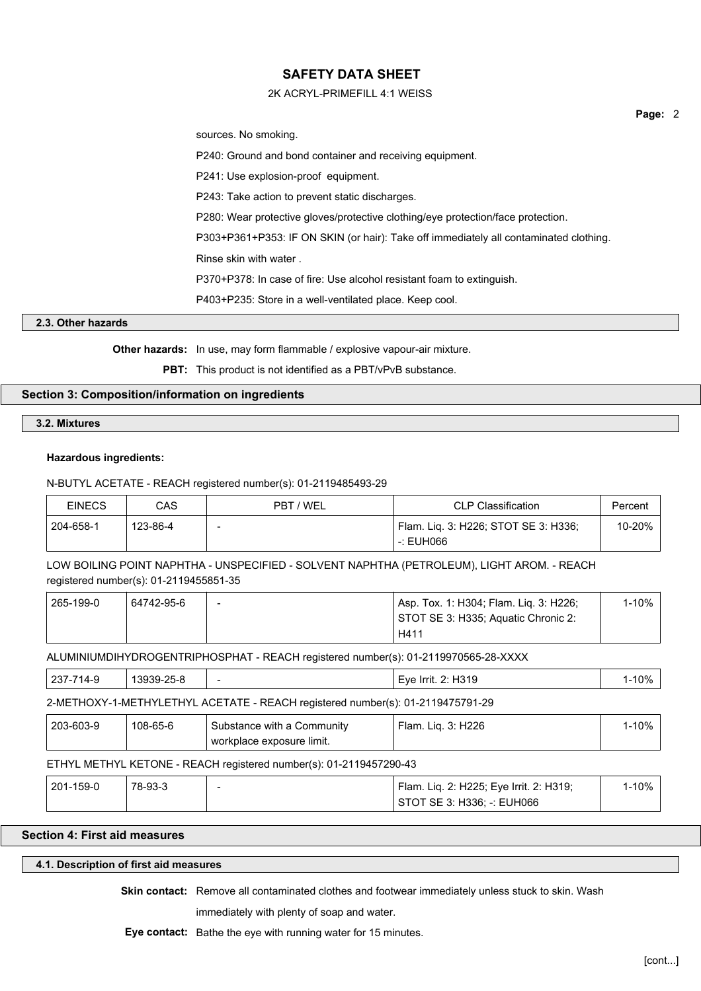## 2K ACRYL-PRIMEFILL 4:1 WEISS

sources. No smoking.

P240: Ground and bond container and receiving equipment.

P241: Use explosion-proof equipment.

P243: Take action to prevent static discharges.

P280: Wear protective gloves/protective clothing/eye protection/face protection.

P303+P361+P353: IF ON SKIN (or hair): Take off immediately all contaminated clothing.

Rinse skin with water .

P370+P378: In case of fire: Use alcohol resistant foam to extinguish.

P403+P235: Store in a well-ventilated place. Keep cool.

#### **2.3. Other hazards**

**Other hazards:** In use, may form flammable / explosive vapour-air mixture.

**PBT:** This product is not identified as a PBT/vPvB substance.

## **Section 3: Composition/information on ingredients**

**3.2. Mixtures**

#### **Hazardous ingredients:**

#### N-BUTYL ACETATE - REACH registered number(s): 01-2119485493-29

| <b>EINECS</b> | CAS      | PBT / WEL | <b>CLP Classification</b>            | Percent |
|---------------|----------|-----------|--------------------------------------|---------|
| 204-658-1     | 123-86-4 |           | Flam. Lig. 3: H226; STOT SE 3: H336; | 10-20%  |
|               |          |           | -: EUH066                            |         |

LOW BOILING POINT NAPHTHA - UNSPECIFIED - SOLVENT NAPHTHA (PETROLEUM), LIGHT AROM. - REACH registered number(s): 01-2119455851-35

| 265-199-0 | 64742-95-6 | $\overline{\phantom{a}}$ | Asp. Tox. 1: H304; Flam. Lig. 3: H226; | l-10% |
|-----------|------------|--------------------------|----------------------------------------|-------|
|           |            |                          | STOT SE 3: H335; Aquatic Chronic 2:    |       |
|           |            |                          | H411                                   |       |

ALUMINIUMDIHYDROGENTRIPHOSPHAT - REACH registered number(s): 01-2119970565-28-XXXX

| $237 -$<br>''4-১ | .3030-<br>ົດ⊏<br>139-Z | $\overline{\phantom{a}}$ | 2: H319<br>Eve<br>Irrit. | 0%، |
|------------------|------------------------|--------------------------|--------------------------|-----|
|                  |                        |                          | .                        |     |

## 2-METHOXY-1-METHYLETHYL ACETATE - REACH registered number(s): 01-2119475791-29

| 203-603-9 | 108-65-6 | Substance with a Community | ' Flam. Lig. 3: H226 | l-10% |
|-----------|----------|----------------------------|----------------------|-------|
|           |          | workplace exposure limit.  |                      |       |

## ETHYL METHYL KETONE - REACH registered number(s): 01-2119457290-43

| 201-159-0 | 78-93-3 | Flam. Lig. 2: H225; Eye Irrit. 2: H319; | 1-10% |  |
|-----------|---------|-----------------------------------------|-------|--|
|           |         | STOT SE 3: H336: -: EUH066              |       |  |

## **Section 4: First aid measures**

#### **4.1. Description of first aid measures**

**Skin contact:** Remove all contaminated clothes and footwear immediately unless stuck to skin. Wash

immediately with plenty of soap and water.

**Eye contact:** Bathe the eye with running water for 15 minutes.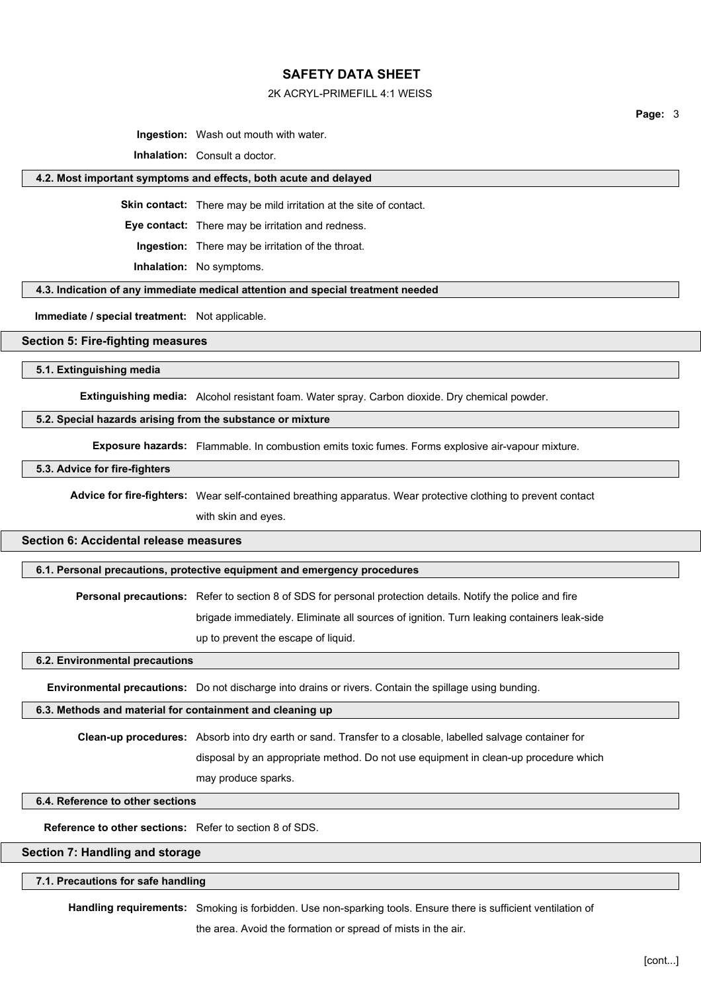#### 2K ACRYL-PRIMEFILL 4:1 WEISS

**Page:** 3

**Ingestion:** Wash out mouth with water.

**Inhalation:** Consult a doctor.

#### **4.2. Most important symptoms and effects, both acute and delayed**

**Skin contact:** There may be mild irritation at the site of contact.

**Eye contact:** There may be irritation and redness.

**Ingestion:** There may be irritation of the throat.

**Inhalation:** No symptoms.

**4.3. Indication of any immediate medical attention and special treatment needed**

**Immediate / special treatment:** Not applicable.

## **Section 5: Fire-fighting measures**

**5.1. Extinguishing media**

**Extinguishing media:** Alcohol resistant foam. Water spray. Carbon dioxide. Dry chemical powder.

#### **5.2. Special hazards arising from the substance or mixture**

**Exposure hazards:** Flammable. In combustion emits toxic fumes. Forms explosive air-vapour mixture.

**5.3. Advice for fire-fighters**

**Advice for fire-fighters:** Wear self-contained breathing apparatus. Wear protective clothing to prevent contact

with skin and eyes.

## **Section 6: Accidental release measures**

**6.1. Personal precautions, protective equipment and emergency procedures**

**Personal precautions:** Refer to section 8 of SDS for personal protection details. Notify the police and fire brigade immediately. Eliminate all sources of ignition. Turn leaking containers leak-side up to prevent the escape of liquid.

**6.2. Environmental precautions**

**Environmental precautions:** Do not discharge into drains or rivers. Contain the spillage using bunding.

## **6.3. Methods and material for containment and cleaning up**

**Clean-up procedures:** Absorb into dry earth or sand. Transfer to a closable, labelled salvage container for disposal by an appropriate method. Do not use equipment in clean-up procedure which may produce sparks.

## **6.4. Reference to other sections**

**Reference to other sections:** Refer to section 8 of SDS.

## **Section 7: Handling and storage**

## **7.1. Precautions for safe handling**

**Handling requirements:** Smoking is forbidden. Use non-sparking tools. Ensure there is sufficient ventilation of

the area. Avoid the formation or spread of mists in the air.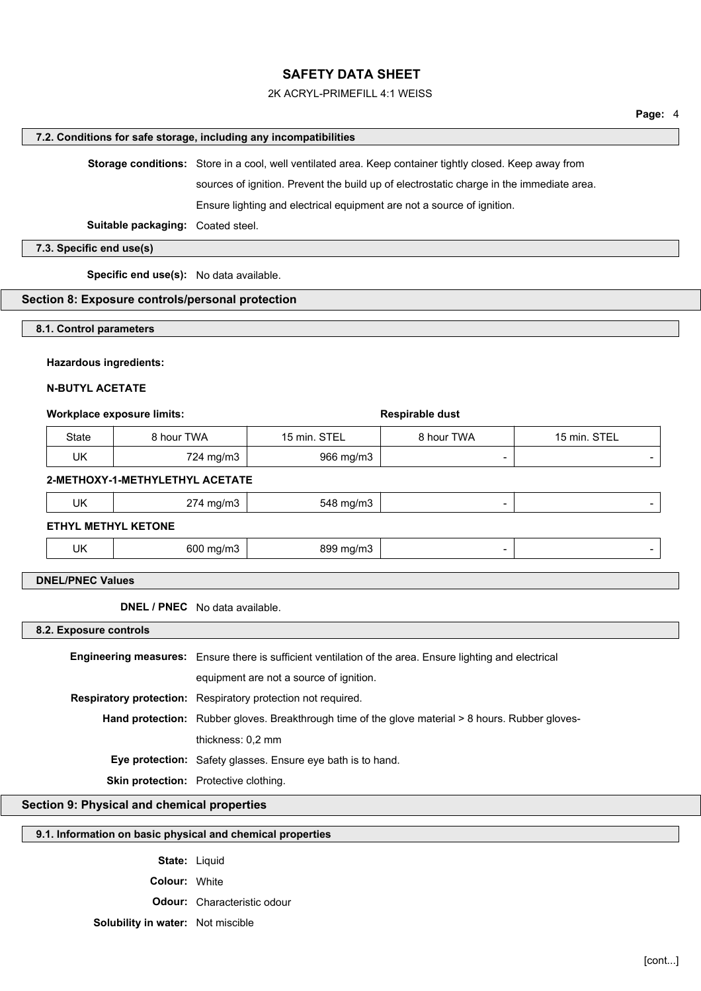#### 2K ACRYL-PRIMEFILL 4:1 WEISS

#### **7.2. Conditions for safe storage, including any incompatibilities**

**Storage conditions:** Store in a cool, well ventilated area. Keep container tightly closed. Keep away from

sources of ignition. Prevent the build up of electrostatic charge in the immediate area.

Ensure lighting and electrical equipment are not a source of ignition.

**Suitable packaging:** Coated steel.

**7.3. Specific end use(s)**

**Specific end use(s):** No data available.

#### **Section 8: Exposure controls/personal protection**

**8.1. Control parameters**

#### **Hazardous ingredients:**

#### **N-BUTYL ACETATE**

#### **Workplace exposure limits:**  $\bullet$  **Respirable dust**

| State | 8 hour TWA | 15 min. STEL | 8 hour TWA | 15 min. STEL |
|-------|------------|--------------|------------|--------------|
| UK    | 724 mg/m3  | 966 mg/m3    |            |              |

#### **2-METHOXY-1-METHYLETHYL ACETATE**

| UK | ^7<br>' mg/m3<br>2/4 r<br>ີ | 548 mg/m3 |  |
|----|-----------------------------|-----------|--|
|    |                             |           |  |

**ETHYL METHYL KETONE**

|--|

## **DNEL/PNEC Values**

**DNEL / PNEC** No data available.

#### **8.2. Exposure controls**

**Engineering measures:** Ensure there is sufficient ventilation of the area. Ensure lighting and electrical equipment are not a source of ignition. **Respiratory protection:** Respiratory protection not required. Hand protection: Rubber gloves. Breakthrough time of the glove material > 8 hours. Rubber glovesthickness: 0,2 mm **Eye protection:** Safety glasses. Ensure eye bath is to hand. **Skin protection:** Protective clothing.

## **Section 9: Physical and chemical properties**

## **9.1. Information on basic physical and chemical properties**

**State:** Liquid **Colour:** White **Odour:** Characteristic odour **Solubility in water:** Not miscible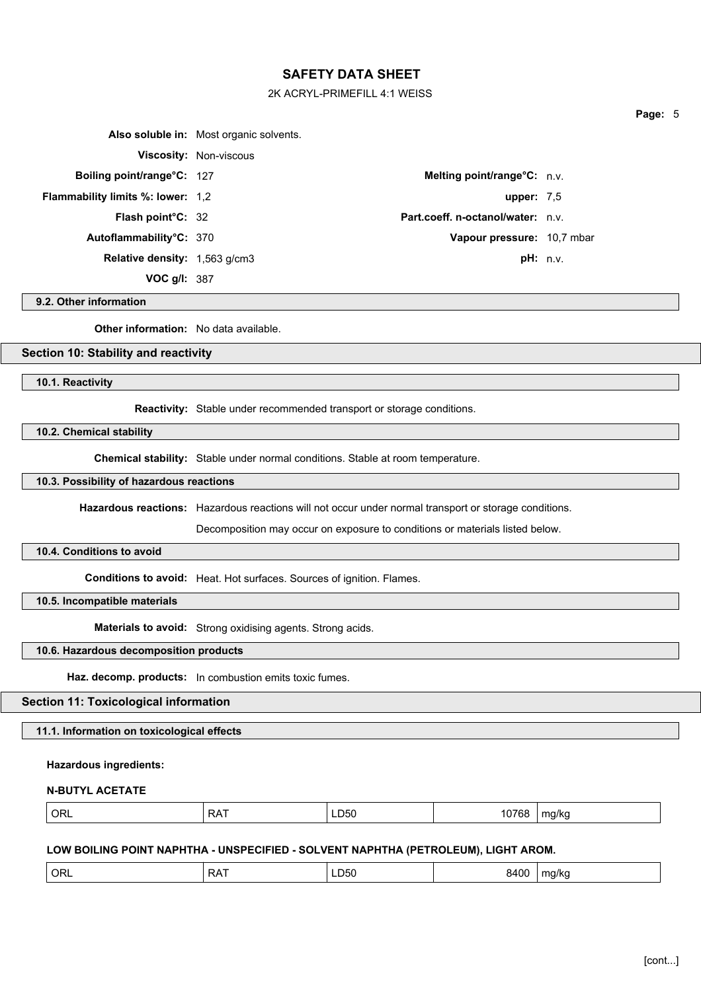### 2K ACRYL-PRIMEFILL 4:1 WEISS

|                                          | Also soluble in: Most organic solvents. |                                          |  |
|------------------------------------------|-----------------------------------------|------------------------------------------|--|
|                                          | <b>Viscosity: Non-viscous</b>           |                                          |  |
| Boiling point/range°C: 127               |                                         | Melting point/range°C: n.v.              |  |
| <b>Flammability limits %: lower: 1,2</b> |                                         | upper: $7.5$                             |  |
| <b>Flash point C: 32</b>                 |                                         | <b>Part.coeff. n-octanol/water:</b> n.v. |  |
| Autoflammability°C: 370                  |                                         | Vapour pressure: 10,7 mbar               |  |
| <b>Relative density:</b> 1,563 g/cm3     |                                         | pH: n.v.                                 |  |
| VOC $g/l: 387$                           |                                         |                                          |  |

## **9.2. Other information**

**Other information:** No data available.

## **Section 10: Stability and reactivity**

**10.1. Reactivity**

**Reactivity:** Stable under recommended transport or storage conditions.

**10.2. Chemical stability**

**Chemical stability:** Stable under normal conditions. Stable at room temperature.

#### **10.3. Possibility of hazardous reactions**

**Hazardous reactions:** Hazardous reactions will not occur under normal transport or storage conditions.

Decomposition may occur on exposure to conditions or materials listed below.

## **10.4. Conditions to avoid**

**Conditions to avoid:** Heat. Hot surfaces. Sources of ignition. Flames.

**10.5. Incompatible materials**

**Materials to avoid:** Strong oxidising agents. Strong acids.

## **10.6. Hazardous decomposition products**

**Haz. decomp. products:** In combustion emits toxic fumes.

# **Section 11: Toxicological information**

**11.1. Information on toxicological effects**

## **Hazardous ingredients:**

#### **N-BUTYL ACETATE**

|--|

## **LOW BOILING POINT NAPHTHA - UNSPECIFIED - SOLVENT NAPHTHA (PETROLEUM), LIGHT AROM.**

| ہر<br>17 K I<br>. .<br>.<br>$ -$<br>.<br>$ -$<br>. .<br>.<br>$\sim$ |  |
|---------------------------------------------------------------------|--|
|---------------------------------------------------------------------|--|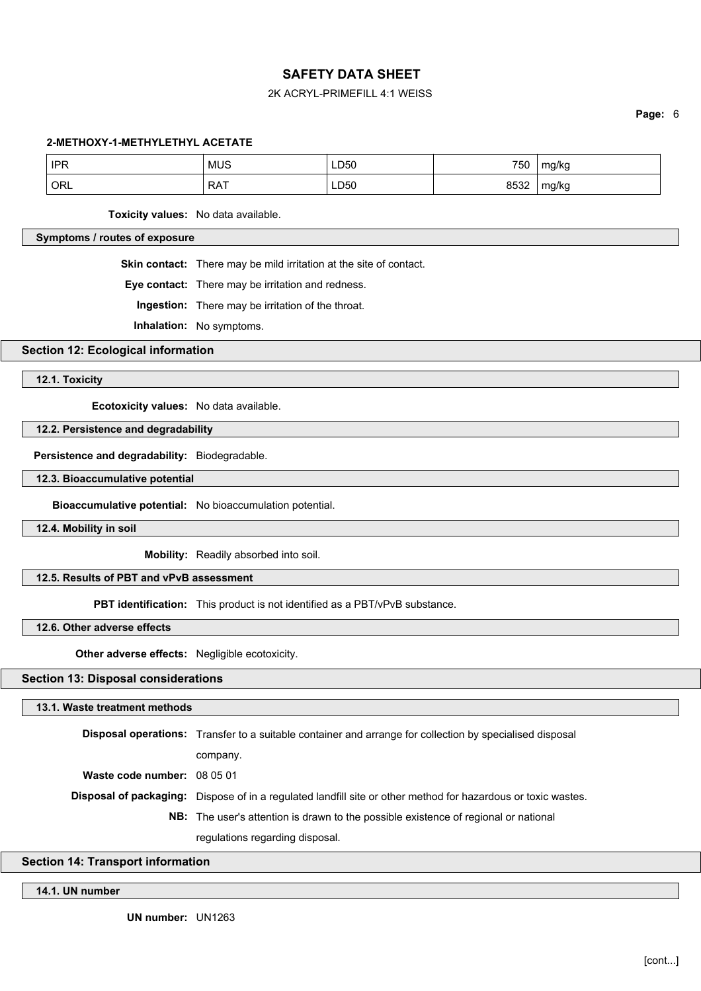## 2K ACRYL-PRIMEFILL 4:1 WEISS

**Page:** 6

#### **2-METHOXY-1-METHYLETHYL ACETATE**

| <b>IPR</b> | <b>MUS</b> | <b>LD50</b> | 750  | mg/kg        |
|------------|------------|-------------|------|--------------|
| ORL        | <b>RAT</b> | LD50        | 8532 | - -<br>mg/kg |

**Toxicity values:** No data available.

## **Symptoms / routes of exposure**

**Skin contact:** There may be mild irritation at the site of contact.

**Eye contact:** There may be irritation and redness.

**Ingestion:** There may be irritation of the throat.

**Inhalation:** No symptoms.

**Section 12: Ecological information**

**12.1. Toxicity**

**Ecotoxicity values:** No data available.

#### **12.2. Persistence and degradability**

**Persistence and degradability:** Biodegradable.

#### **12.3. Bioaccumulative potential**

**Bioaccumulative potential:** No bioaccumulation potential.

**12.4. Mobility in soil**

**Mobility:** Readily absorbed into soil.

## **12.5. Results of PBT and vPvB assessment**

**PBT identification:** This product is not identified as a PBT/vPvB substance.

**12.6. Other adverse effects**

**Other adverse effects:** Negligible ecotoxicity.

## **Section 13: Disposal considerations**

#### **13.1. Waste treatment methods**

**Disposal operations:** Transfer to a suitable container and arrange for collection by specialised disposal company. **Waste code number:** 08 05 01 **Disposal of packaging:** Dispose of in a regulated landfill site or other method for hazardous or toxic wastes. **NB:** The user's attention is drawn to the possible existence of regional or national regulations regarding disposal.

## **Section 14: Transport information**

#### **14.1. UN number**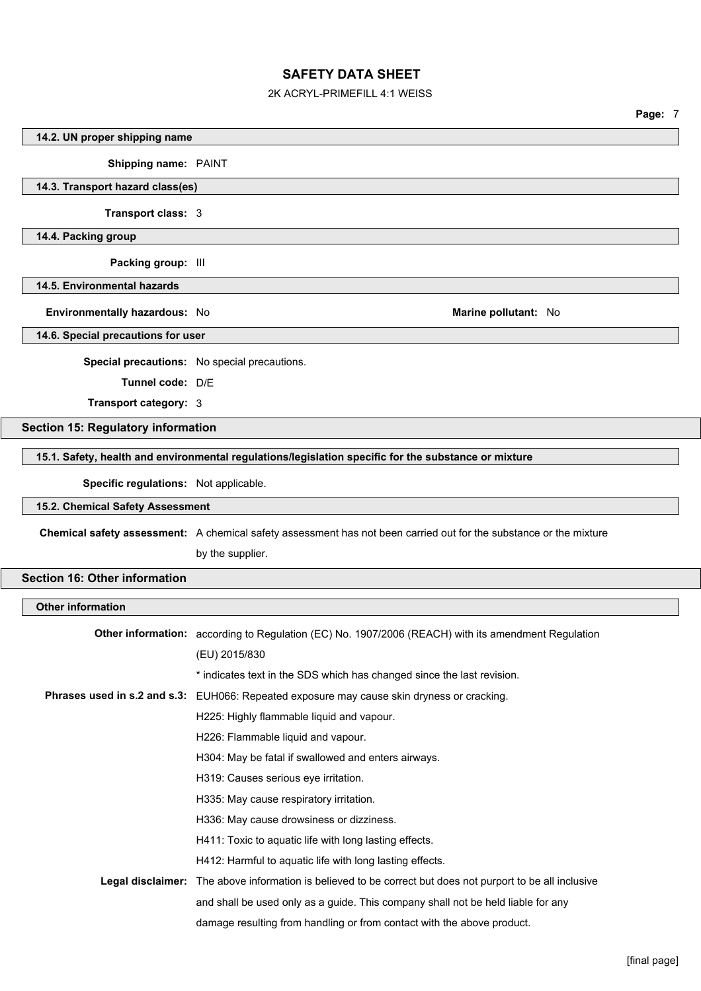## 2K ACRYL-PRIMEFILL 4:1 WEISS

|                                           |                                                                                                                    | Page: 7 |  |
|-------------------------------------------|--------------------------------------------------------------------------------------------------------------------|---------|--|
| 14.2. UN proper shipping name             |                                                                                                                    |         |  |
| Shipping name: PAINT                      |                                                                                                                    |         |  |
| 14.3. Transport hazard class(es)          |                                                                                                                    |         |  |
| Transport class: 3                        |                                                                                                                    |         |  |
| 14.4. Packing group                       |                                                                                                                    |         |  |
| Packing group: III                        |                                                                                                                    |         |  |
| 14.5. Environmental hazards               |                                                                                                                    |         |  |
| Environmentally hazardous: No             | Marine pollutant: No                                                                                               |         |  |
| 14.6. Special precautions for user        |                                                                                                                    |         |  |
|                                           | Special precautions: No special precautions.                                                                       |         |  |
| Tunnel code: D/E                          |                                                                                                                    |         |  |
| Transport category: 3                     |                                                                                                                    |         |  |
| <b>Section 15: Regulatory information</b> |                                                                                                                    |         |  |
|                                           | 15.1. Safety, health and environmental regulations/legislation specific for the substance or mixture               |         |  |
|                                           |                                                                                                                    |         |  |
| Specific regulations: Not applicable.     |                                                                                                                    |         |  |
| 15.2. Chemical Safety Assessment          |                                                                                                                    |         |  |
|                                           | Chemical safety assessment: A chemical safety assessment has not been carried out for the substance or the mixture |         |  |
|                                           | by the supplier.                                                                                                   |         |  |
| <b>Section 16: Other information</b>      |                                                                                                                    |         |  |
| <b>Other information</b>                  |                                                                                                                    |         |  |
|                                           | Other information: according to Regulation (EC) No. 1907/2006 (REACH) with its amendment Regulation                |         |  |
|                                           | (EU) 2015/830                                                                                                      |         |  |
|                                           | * indicates text in the SDS which has changed since the last revision.                                             |         |  |
|                                           | Phrases used in s.2 and s.3: EUH066: Repeated exposure may cause skin dryness or cracking.                         |         |  |
|                                           | H225: Highly flammable liquid and vapour.                                                                          |         |  |
|                                           | H226: Flammable liquid and vapour.                                                                                 |         |  |
|                                           | H304: May be fatal if swallowed and enters airways.                                                                |         |  |
|                                           | H319: Causes serious eye irritation.                                                                               |         |  |
|                                           | H335: May cause respiratory irritation.                                                                            |         |  |
|                                           | H336: May cause drowsiness or dizziness.                                                                           |         |  |
|                                           | H411: Toxic to aquatic life with long lasting effects.                                                             |         |  |
|                                           | H412: Harmful to aquatic life with long lasting effects.                                                           |         |  |
|                                           | Legal disclaimer: The above information is believed to be correct but does not purport to be all inclusive         |         |  |
|                                           | and shall be used only as a guide. This company shall not be held liable for any                                   |         |  |
|                                           | damage resulting from handling or from contact with the above product.                                             |         |  |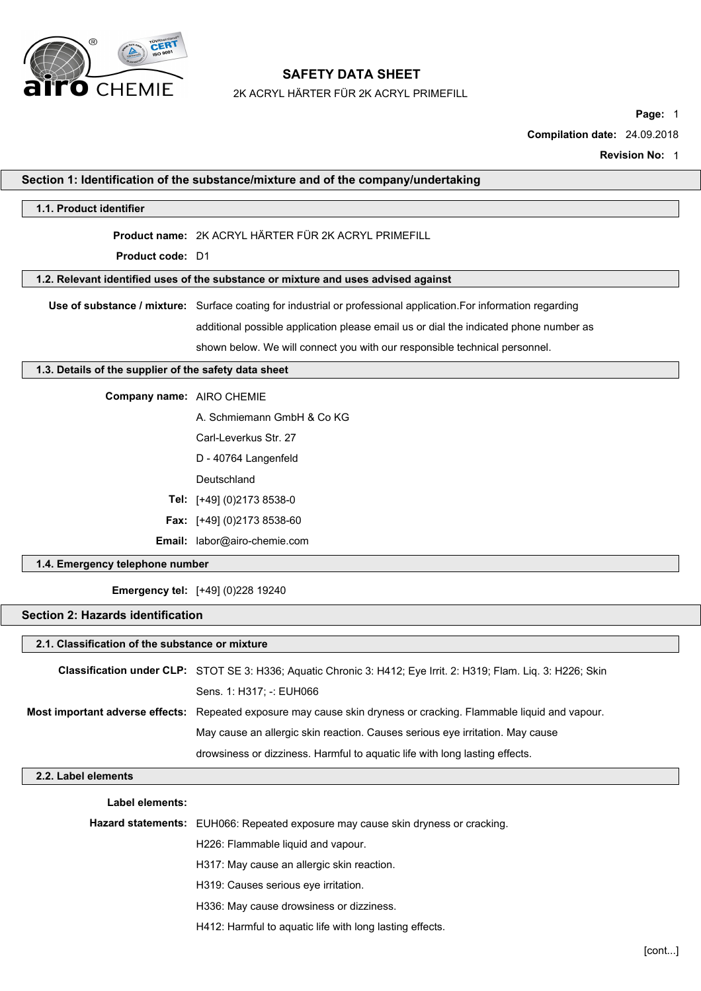

2K ACRYL HÄRTER FÜR 2K ACRYL PRIMEFILL

**Page:** 1

**Compilation date:** 24.09.2018

**Revision No:** 1

|                                                       | Section 1: Identification of the substance/mixture and of the company/undertaking                                  |
|-------------------------------------------------------|--------------------------------------------------------------------------------------------------------------------|
| 1.1. Product identifier                               |                                                                                                                    |
|                                                       | Product name: 2K ACRYL HÄRTER FÜR 2K ACRYL PRIMEFILL                                                               |
| <b>Product code: D1</b>                               |                                                                                                                    |
|                                                       | 1.2. Relevant identified uses of the substance or mixture and uses advised against                                 |
|                                                       | Use of substance / mixture: Surface coating for industrial or professional application. For information regarding  |
|                                                       | additional possible application please email us or dial the indicated phone number as                              |
|                                                       | shown below. We will connect you with our responsible technical personnel.                                         |
| 1.3. Details of the supplier of the safety data sheet |                                                                                                                    |
| Company name: AIRO CHEMIE                             |                                                                                                                    |
|                                                       | A. Schmiemann GmbH & Co KG                                                                                         |
|                                                       | Carl-Leverkus Str. 27                                                                                              |
|                                                       | D - 40764 Langenfeld                                                                                               |
|                                                       | Deutschland                                                                                                        |
|                                                       | Tel: [+49] (0)2173 8538-0                                                                                          |
|                                                       | <b>Fax:</b> [+49] (0)2173 8538-60                                                                                  |
|                                                       | Email: labor@airo-chemie.com                                                                                       |
| 1.4. Emergency telephone number                       |                                                                                                                    |
|                                                       | <b>Emergency tel:</b> [+49] (0)228 19240                                                                           |
| <b>Section 2: Hazards identification</b>              |                                                                                                                    |
| 2.1. Classification of the substance or mixture       |                                                                                                                    |
|                                                       | Classification under CLP: STOT SE 3: H336; Aquatic Chronic 3: H412; Eye Irrit. 2: H319; Flam. Liq. 3: H226; Skin   |
|                                                       | Sens. 1: H317; -: EUH066                                                                                           |
|                                                       | Most important adverse effects: Repeated exposure may cause skin dryness or cracking. Flammable liquid and vapour. |
|                                                       | May cause an allergic skin reaction. Causes serious eye irritation. May cause                                      |
|                                                       | drowsiness or dizziness. Harmful to aquatic life with long lasting effects.                                        |
| 2.2. Label elements                                   |                                                                                                                    |
| Label elements:                                       |                                                                                                                    |
|                                                       | Hazard statements: EUH066: Repeated exposure may cause skin dryness or cracking.                                   |
|                                                       | H226: Flammable liquid and vapour.                                                                                 |
|                                                       | H317: May cause an allergic skin reaction.                                                                         |
|                                                       | H319: Causes serious eye irritation.                                                                               |
|                                                       | H336: May cause drowsiness or dizziness.                                                                           |
|                                                       | H412: Harmful to aquatic life with long lasting effects.                                                           |
|                                                       |                                                                                                                    |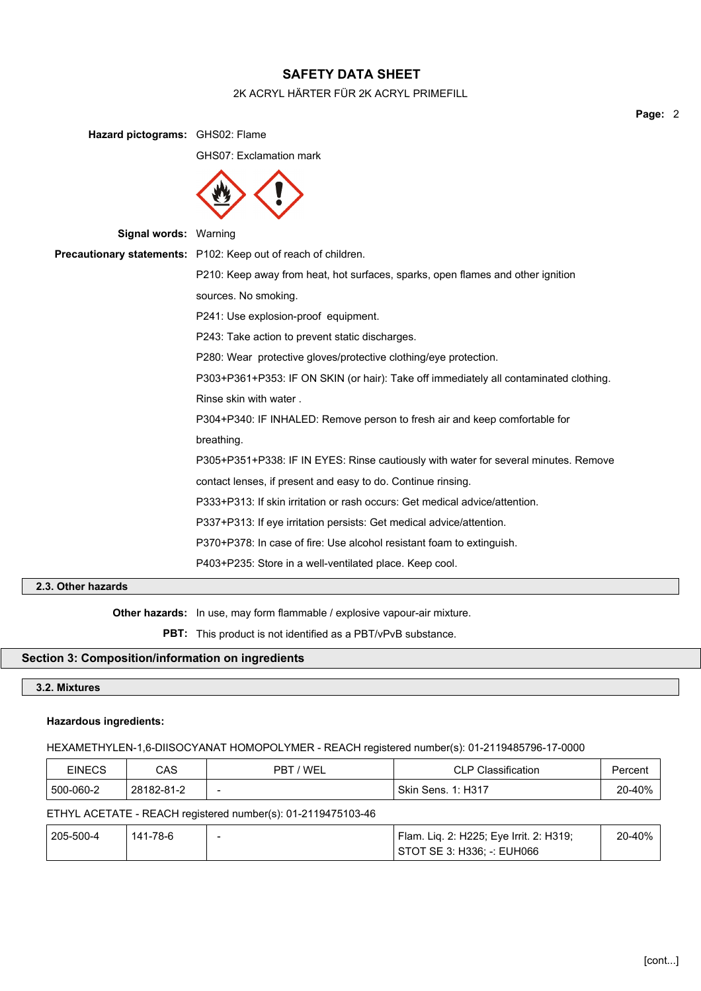## 2K ACRYL HÄRTER FÜR 2K ACRYL PRIMEFILL

**Hazard pictograms:** GHS02: Flame GHS07: Exclamation mark **Signal words:** Warning **Precautionary statements:** P102: Keep out of reach of children. P210: Keep away from heat, hot surfaces, sparks, open flames and other ignition sources. No smoking. P241: Use explosion-proof equipment. P243: Take action to prevent static discharges. P280: Wear protective gloves/protective clothing/eye protection. P303+P361+P353: IF ON SKIN (or hair): Take off immediately all contaminated clothing. Rinse skin with water . P304+P340: IF INHALED: Remove person to fresh air and keep comfortable for breathing. P305+P351+P338: IF IN EYES: Rinse cautiously with water for several minutes. Remove contact lenses, if present and easy to do. Continue rinsing. P333+P313: If skin irritation or rash occurs: Get medical advice/attention. P337+P313: If eye irritation persists: Get medical advice/attention. P370+P378: In case of fire: Use alcohol resistant foam to extinguish. P403+P235: Store in a well-ventilated place. Keep cool.

## **2.3. Other hazards**

**Other hazards:** In use, may form flammable / explosive vapour-air mixture.

**PBT:** This product is not identified as a PBT/vPvB substance.

## **Section 3: Composition/information on ingredients**

## **3.2. Mixtures**

#### **Hazardous ingredients:**

#### HEXAMETHYLEN-1,6-DIISOCYANAT HOMOPOLYMER - REACH registered number(s): 01-2119485796-17-0000

| EINECS    | CAS        | 'WEL<br>ΡB               | Classification<br>CLP CI | Percent |
|-----------|------------|--------------------------|--------------------------|---------|
| 500-060-2 | 28182-81-2 | $\overline{\phantom{0}}$ | Skin<br>1: H31<br>Sens.  | 20-40%  |

#### ETHYL ACETATE - REACH registered number(s): 01-2119475103-46

| 205-500-4 | 141-78-6 | - | Flam. Lig. 2: H225; Eye Irrit. 2: H319; | 20-40% |
|-----------|----------|---|-----------------------------------------|--------|
|           |          |   | STOT SE 3: H336; -: EUH066              |        |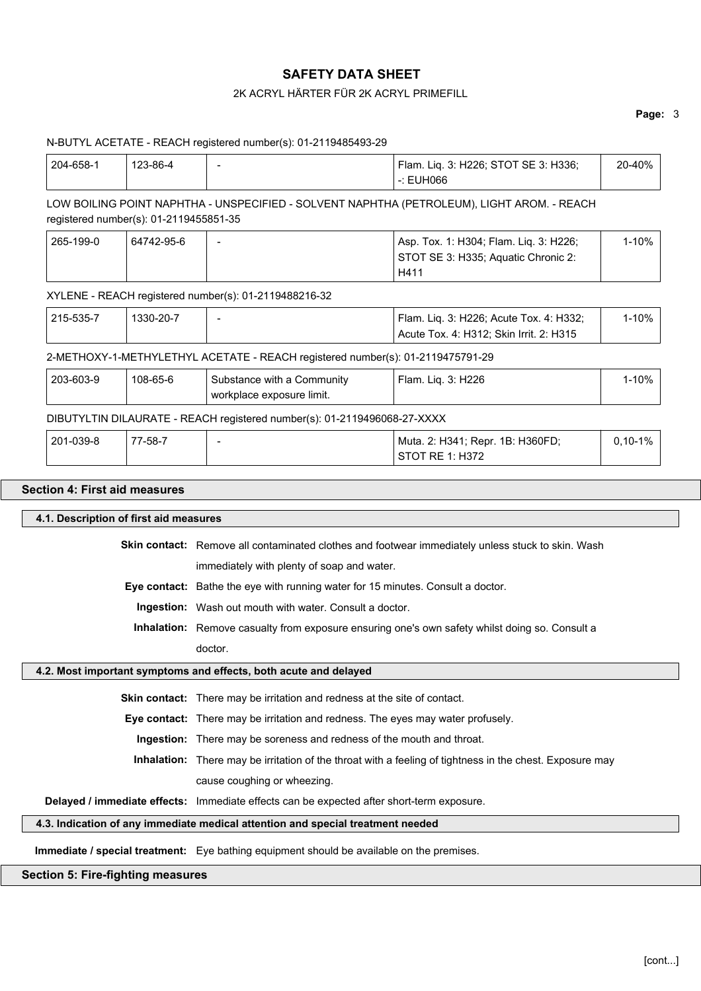# 2K ACRYL HÄRTER FÜR 2K ACRYL PRIMEFILL

# **Page:** 3

|           |                                        | N-BUTYL ACETATE - REACH registered number(s): 01-2119485493-29                            |                                                                                                          |           |
|-----------|----------------------------------------|-------------------------------------------------------------------------------------------|----------------------------------------------------------------------------------------------------------|-----------|
| 204-658-1 | 123-86-4                               |                                                                                           | Flam. Liq. 3: H226; STOT SE 3: H336;<br>$-$ : EUH066                                                     | 20-40%    |
|           | registered number(s): 01-2119455851-35 |                                                                                           | LOW BOILING POINT NAPHTHA - UNSPECIFIED - SOLVENT NAPHTHA (PETROLEUM), LIGHT AROM. - REACH               |           |
| 265-199-0 | 64742-95-6                             |                                                                                           | Asp. Tox. 1: H304; Flam. Liq. 3: H226;<br>STOT SE 3: H335; Aquatic Chronic 2:<br>H411                    | $1 - 10%$ |
|           |                                        | XYLENE - REACH registered number(s): 01-2119488216-32                                     |                                                                                                          |           |
| 215-535-7 | 1330-20-7                              |                                                                                           | Flam. Liq. 3: H226; Acute Tox. 4: H332;<br>Acute Tox. 4: H312; Skin Irrit. 2: H315                       | $1 - 10%$ |
|           |                                        | 2-METHOXY-1-METHYLETHYL ACETATE - REACH registered number(s): 01-2119475791-29            |                                                                                                          |           |
| 203-603-9 | 108-65-6                               | Substance with a Community<br>workplace exposure limit.                                   | Flam. Liq. 3: H226                                                                                       | $1 - 10%$ |
|           |                                        | DIBUTYLTIN DILAURATE - REACH registered number(s): 01-2119496068-27-XXXX                  |                                                                                                          |           |
| 201-039-8 | 77-58-7                                | $\overline{\phantom{a}}$                                                                  | Muta. 2: H341; Repr. 1B: H360FD;<br><b>STOT RE 1: H372</b>                                               | $0,10-1%$ |
|           | 4.1. Description of first aid measures |                                                                                           |                                                                                                          |           |
|           |                                        |                                                                                           | Skin contact: Remove all contaminated clothes and footwear immediately unless stuck to skin. Wash        |           |
|           |                                        | immediately with plenty of soap and water.                                                |                                                                                                          |           |
|           |                                        | Eye contact: Bathe the eye with running water for 15 minutes. Consult a doctor.           |                                                                                                          |           |
|           |                                        | Ingestion: Wash out mouth with water. Consult a doctor.                                   |                                                                                                          |           |
|           |                                        |                                                                                           | Inhalation: Remove casualty from exposure ensuring one's own safety whilst doing so. Consult a           |           |
|           |                                        | doctor.                                                                                   |                                                                                                          |           |
|           |                                        | 4.2. Most important symptoms and effects, both acute and delayed                          |                                                                                                          |           |
|           |                                        | Skin contact: There may be irritation and redness at the site of contact.                 |                                                                                                          |           |
|           |                                        | Eye contact: There may be irritation and redness. The eyes may water profusely.           |                                                                                                          |           |
|           |                                        | Ingestion: There may be soreness and redness of the mouth and throat.                     |                                                                                                          |           |
|           |                                        |                                                                                           | Inhalation: There may be irritation of the throat with a feeling of tightness in the chest. Exposure may |           |
|           |                                        | cause coughing or wheezing.                                                               |                                                                                                          |           |
|           |                                        | Delayed / immediate effects: Immediate effects can be expected after short-term exposure. |                                                                                                          |           |
|           |                                        | 4.3. Indication of any immediate medical attention and special treatment needed           |                                                                                                          |           |
|           |                                        | Immediate / special treatment: Eye bathing equipment should be available on the premises. |                                                                                                          |           |
|           |                                        |                                                                                           |                                                                                                          |           |

# **Section 5: Fire-fighting measures**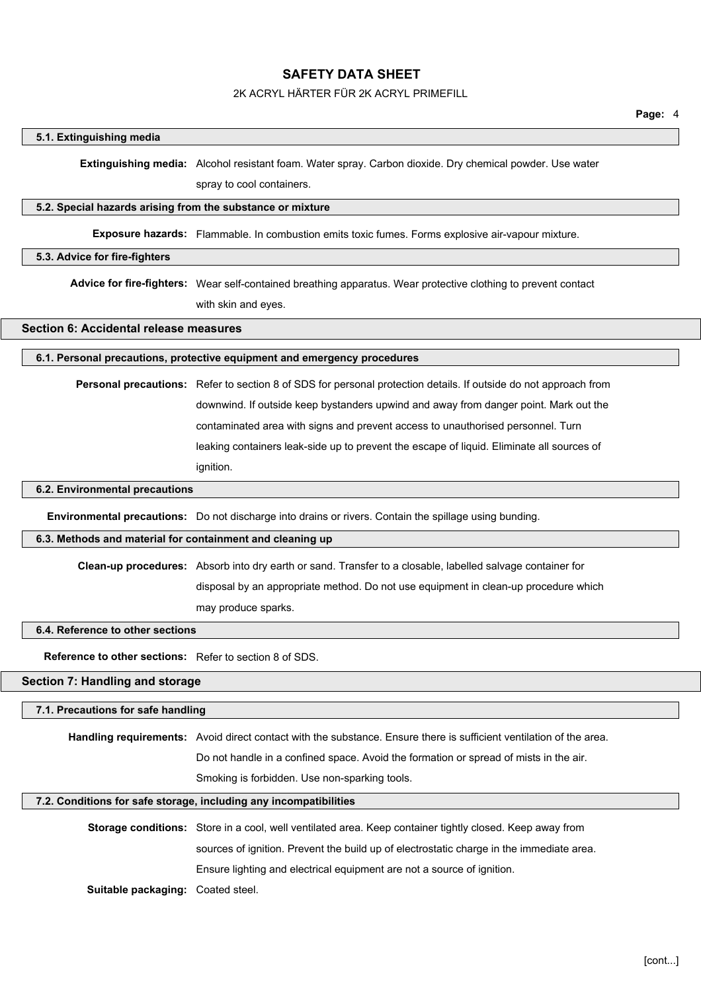## 2K ACRYL HÄRTER FÜR 2K ACRYL PRIMEFILL

#### **5.1. Extinguishing media**

**Extinguishing media:** Alcohol resistant foam. Water spray. Carbon dioxide. Dry chemical powder. Use water

spray to cool containers.

#### **5.2. Special hazards arising from the substance or mixture**

**Exposure hazards:** Flammable. In combustion emits toxic fumes. Forms explosive air-vapour mixture.

#### **5.3. Advice for fire-fighters**

**Advice for fire-fighters:** Wear self-contained breathing apparatus. Wear protective clothing to prevent contact with skin and eyes.

## **Section 6: Accidental release measures**

#### **6.1. Personal precautions, protective equipment and emergency procedures**

**Personal precautions:** Refer to section 8 of SDS for personal protection details. If outside do not approach from downwind. If outside keep bystanders upwind and away from danger point. Mark out the contaminated area with signs and prevent access to unauthorised personnel. Turn leaking containers leak-side up to prevent the escape of liquid. Eliminate all sources of ignition.

## **6.2. Environmental precautions**

**Environmental precautions:** Do not discharge into drains or rivers. Contain the spillage using bunding.

#### **6.3. Methods and material for containment and cleaning up**

**Clean-up procedures:** Absorb into dry earth or sand. Transfer to a closable, labelled salvage container for disposal by an appropriate method. Do not use equipment in clean-up procedure which

may produce sparks.

#### **6.4. Reference to other sections**

**Reference to other sections:** Refer to section 8 of SDS.

## **Section 7: Handling and storage**

#### **7.1. Precautions for safe handling**

**Handling requirements:** Avoid direct contact with the substance. Ensure there is sufficient ventilation of the area. Do not handle in a confined space. Avoid the formation or spread of mists in the air.

Smoking is forbidden. Use non-sparking tools.

#### **7.2. Conditions for safe storage, including any incompatibilities**

| <b>Storage conditions:</b> Store in a cool, well ventilated area. Keep container tightly closed. Keep away from |
|-----------------------------------------------------------------------------------------------------------------|
| sources of ignition. Prevent the build up of electrostatic charge in the immediate area.                        |
| Ensure lighting and electrical equipment are not a source of ignition.                                          |

**Suitable packaging:** Coated steel.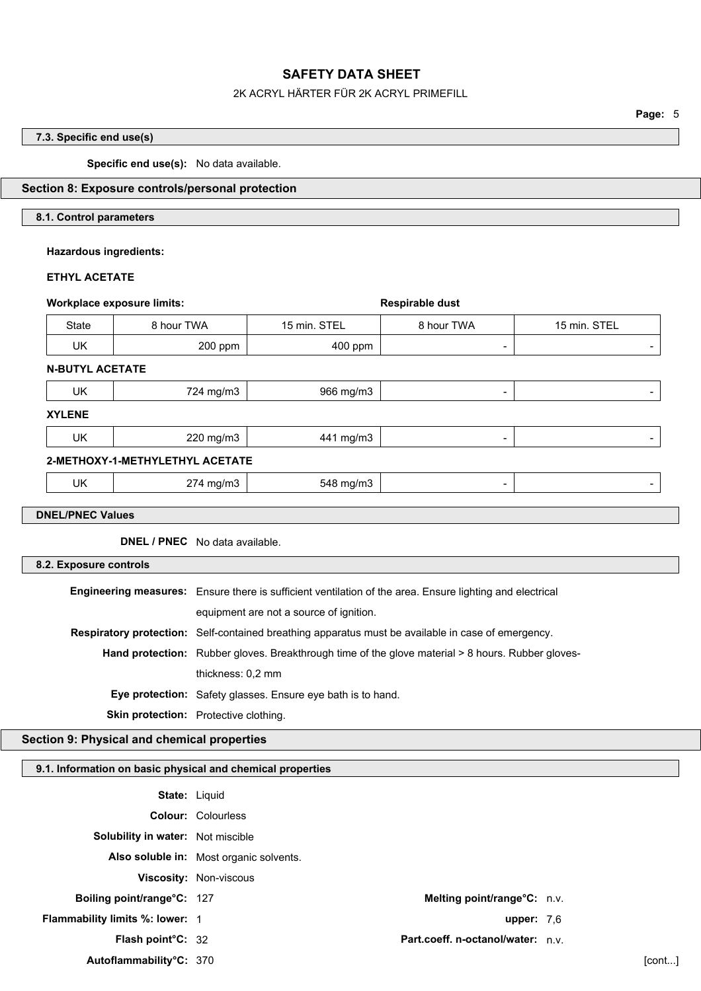#### 2K ACRYL HÄRTER FÜR 2K ACRYL PRIMEFILL

**Page:** 5

## **7.3. Specific end use(s)**

**Specific end use(s):** No data available.

## **Section 8: Exposure controls/personal protection**

## **8.1. Control parameters**

## **Hazardous ingredients:**

## **ETHYL ACETATE**

| <b>Workplace exposure limits:</b>                                                                        |                                         | Respirable dust                   |           |                             |              |
|----------------------------------------------------------------------------------------------------------|-----------------------------------------|-----------------------------------|-----------|-----------------------------|--------------|
| <b>State</b>                                                                                             | 8 hour TWA<br>15 min. STEL              |                                   |           | 8 hour TWA                  | 15 min. STEL |
| UK                                                                                                       | 200 ppm                                 |                                   | 400 ppm   | $\overline{\phantom{a}}$    |              |
| <b>N-BUTYL ACETATE</b>                                                                                   |                                         |                                   |           |                             |              |
| UK                                                                                                       |                                         | 724 mg/m3                         | 966 mg/m3 |                             |              |
| <b>XYLENE</b>                                                                                            |                                         |                                   |           |                             |              |
| <b>UK</b>                                                                                                |                                         | 220 mg/m3                         | 441 mg/m3 |                             |              |
| 2-METHOXY-1-METHYLETHYL ACETATE                                                                          |                                         |                                   |           |                             |              |
| UK                                                                                                       |                                         | 274 mg/m3                         | 548 mg/m3 |                             |              |
|                                                                                                          |                                         |                                   |           |                             |              |
| <b>DNEL/PNEC Values</b>                                                                                  |                                         |                                   |           |                             |              |
|                                                                                                          | <b>DNEL / PNEC</b> No data available.   |                                   |           |                             |              |
| 8.2. Exposure controls                                                                                   |                                         |                                   |           |                             |              |
| Engineering measures: Ensure there is sufficient ventilation of the area. Ensure lighting and electrical |                                         |                                   |           |                             |              |
| equipment are not a source of ignition.                                                                  |                                         |                                   |           |                             |              |
| Respiratory protection: Self-contained breathing apparatus must be available in case of emergency.       |                                         |                                   |           |                             |              |
| Hand protection: Rubber gloves. Breakthrough time of the glove material > 8 hours. Rubber gloves-        |                                         |                                   |           |                             |              |
|                                                                                                          |                                         | thickness: 0,2 mm                 |           |                             |              |
| Eye protection: Safety glasses. Ensure eye bath is to hand.                                              |                                         |                                   |           |                             |              |
| Skin protection: Protective clothing.                                                                    |                                         |                                   |           |                             |              |
| Section 9: Physical and chemical properties                                                              |                                         |                                   |           |                             |              |
| 9.1. Information on basic physical and chemical properties                                               |                                         |                                   |           |                             |              |
|                                                                                                          |                                         | <b>State: Liquid</b>              |           |                             |              |
|                                                                                                          |                                         | Colour: Colourless                |           |                             |              |
|                                                                                                          |                                         | Solubility in water: Not miscible |           |                             |              |
|                                                                                                          | Also soluble in: Most organic solvents. |                                   |           |                             |              |
|                                                                                                          |                                         | Viscosity: Non-viscous            |           |                             |              |
|                                                                                                          | Boiling point/range°C: 127              |                                   |           | Melting point/range°C: n.v. |              |

**Flammability limits %: lower:** 1 **upper:** 7,6

**Flash point°C:** 32 **Part.coeff. n-octanol/water:** n.v.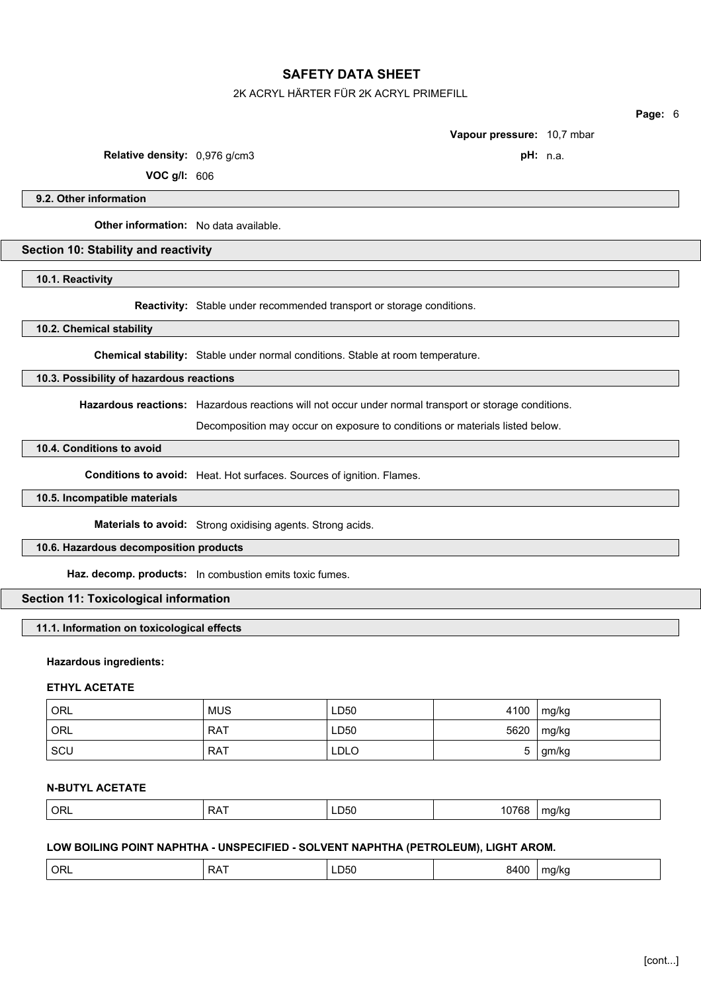### 2K ACRYL HÄRTER FÜR 2K ACRYL PRIMEFILL

**Page:** 6

**Vapour pressure:** 10,7 mbar

**Relative density:** 0,976 g/cm3 **pH:** n.a.

**VOC g/l:** 606

**9.2. Other information**

**Other information:** No data available.

## **Section 10: Stability and reactivity**

**10.1. Reactivity**

**Reactivity:** Stable under recommended transport or storage conditions.

**10.2. Chemical stability**

**Chemical stability:** Stable under normal conditions. Stable at room temperature.

**10.3. Possibility of hazardous reactions**

**Hazardous reactions:** Hazardous reactions will not occur under normal transport or storage conditions.

Decomposition may occur on exposure to conditions or materials listed below.

## **10.4. Conditions to avoid**

**Conditions to avoid:** Heat. Hot surfaces. Sources of ignition. Flames.

#### **10.5. Incompatible materials**

**Materials to avoid:** Strong oxidising agents. Strong acids.

## **10.6. Hazardous decomposition products**

**Haz. decomp. products:** In combustion emits toxic fumes.

## **Section 11: Toxicological information**

## **11.1. Information on toxicological effects**

## **Hazardous ingredients:**

## **ETHYL ACETATE**

| ORL | <b>MUS</b> | LD50 | 4100 | mg/kg |
|-----|------------|------|------|-------|
| ORL | <b>RAT</b> | LD50 | 5620 | mg/kg |
| SCU | <b>RAT</b> | LDLO | ັ    | gm/kg |

## **N-BUTYL ACETATE**

| ORL <sup>'</sup><br>LD50<br>ᆼᇧ<br>$\sim$<br>. . | $- - - -$<br>ma/kc<br>I U 7 00<br>. |
|-------------------------------------------------|-------------------------------------|
|-------------------------------------------------|-------------------------------------|

## **LOW BOILING POINT NAPHTHA - UNSPECIFIED - SOLVENT NAPHTHA (PETROLEUM), LIGHT AROM.**

| ORL<br>. –<br>RA<br>. או<br>. JJ U<br>.<br>$\sim$ $\sim$<br>$ -$ | 8400 | ma/ka<br>.<br>. . |  |
|------------------------------------------------------------------|------|-------------------|--|
|------------------------------------------------------------------|------|-------------------|--|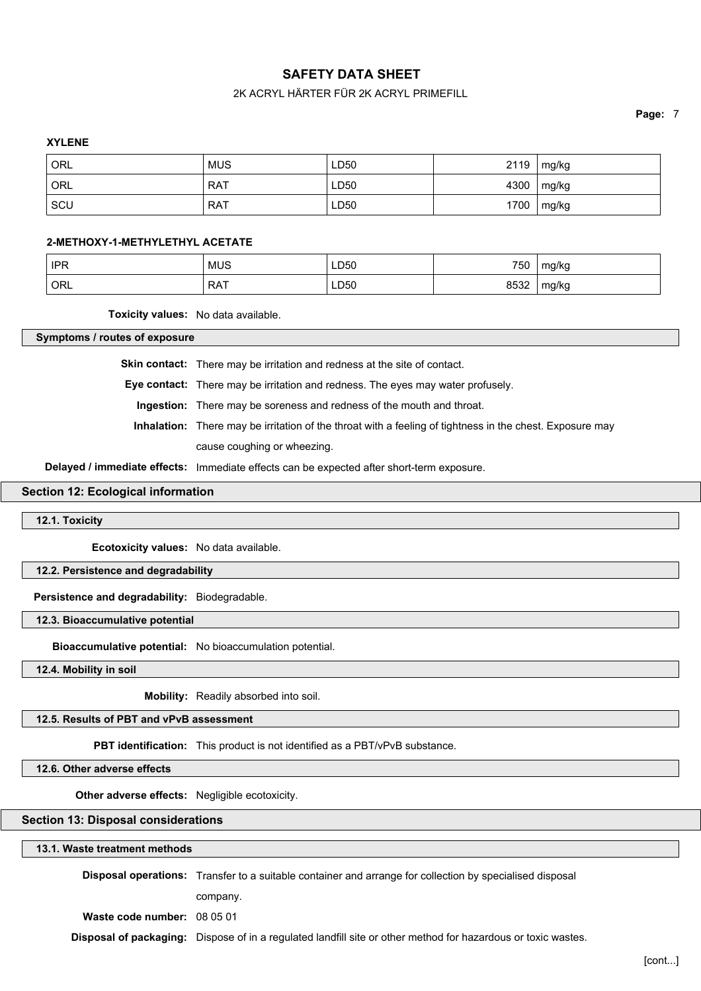## 2K ACRYL HÄRTER FÜR 2K ACRYL PRIMEFILL

**Page:** 7

#### **XYLENE**

| <sup>'</sup> ORL | <b>MUS</b> | LD50 | 2119 | $\lfloor$ mg/kg |
|------------------|------------|------|------|-----------------|
| ORL              | <b>RAT</b> | LD50 |      | 4300   mg/kg    |
| SCU              | <b>RAT</b> | LD50 |      | $1700$   mg/kg  |

### **2-METHOXY-1-METHYLETHYL ACETATE**

| <b>IPR</b> | <b>MUS</b> | LD50<br>$\sim$ | 750  | mg/kg |
|------------|------------|----------------|------|-------|
| ORL        | <b>RAT</b> | LD50           | 8532 | mg/kg |

**Toxicity values:** No data available.

**Symptoms / routes of exposure**

**Skin contact:** There may be irritation and redness at the site of contact.

**Eye contact:** There may be irritation and redness. The eyes may water profusely.

**Ingestion:** There may be soreness and redness of the mouth and throat.

**Inhalation:** There may be irritation of the throat with a feeling of tightness in the chest. Exposure may

cause coughing or wheezing.

**Delayed / immediate effects:** Immediate effects can be expected after short-term exposure.

## **Section 12: Ecological information**

**12.1. Toxicity**

**Ecotoxicity values:** No data available.

**12.2. Persistence and degradability**

**Persistence and degradability:** Biodegradable.

**12.3. Bioaccumulative potential**

**Bioaccumulative potential:** No bioaccumulation potential.

**12.4. Mobility in soil**

**Mobility:** Readily absorbed into soil.

**12.5. Results of PBT and vPvB assessment**

**PBT identification:** This product is not identified as a PBT/vPvB substance.

**12.6. Other adverse effects**

**Other adverse effects:** Negligible ecotoxicity.

**Section 13: Disposal considerations**

**13.1. Waste treatment methods**

**Disposal operations:** Transfer to a suitable container and arrange for collection by specialised disposal

company.

**Waste code number:** 08 05 01

**Disposal of packaging:** Dispose of in a regulated landfill site or other method for hazardous or toxic wastes.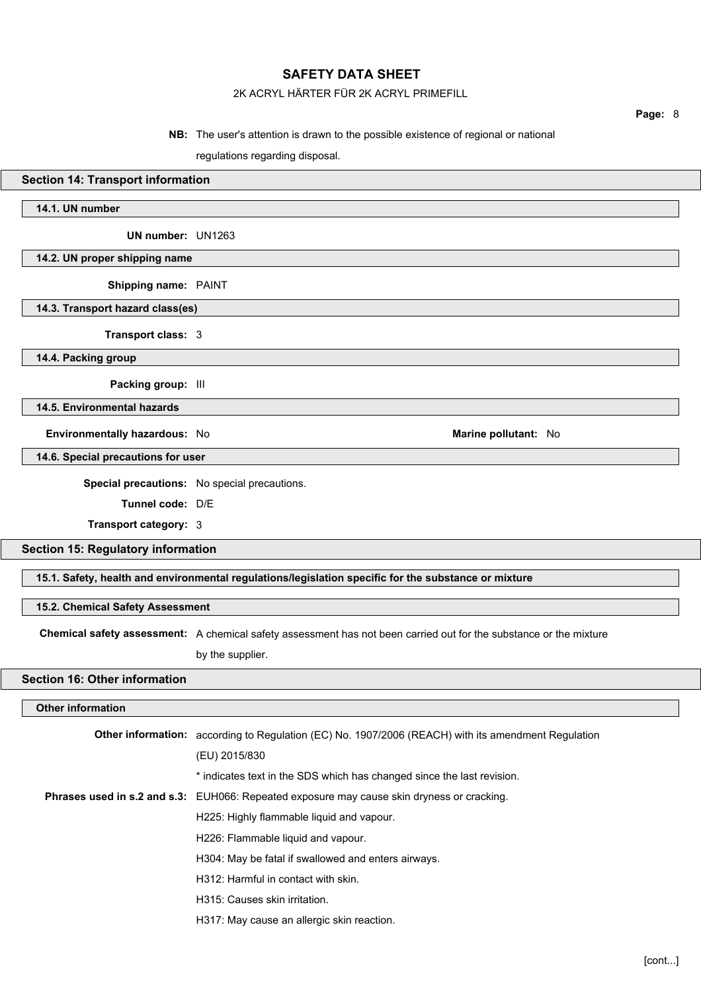## 2K ACRYL HÄRTER FÜR 2K ACRYL PRIMEFILL

#### **NB:** The user's attention is drawn to the possible existence of regional or national

regulations regarding disposal.

#### **Section 14: Transport information**

## **14.1. UN number**

**UN number:** UN1263

#### **14.2. UN proper shipping name**

**Shipping name:** PAINT

**14.3. Transport hazard class(es)**

**Transport class:** 3

**14.4. Packing group**

**Packing group:** III

**14.5. Environmental hazards**

**Environmentally hazardous:** No **Marine pollutant:** No **Marine pollutant:** No

**14.6. Special precautions for user**

**Special precautions:** No special precautions.

**Tunnel code:** D/E

**Transport category:** 3

**Section 15: Regulatory information**

**15.1. Safety, health and environmental regulations/legislation specific for the substance or mixture**

#### **15.2. Chemical Safety Assessment**

**Chemical safety assessment:** A chemical safety assessment has not been carried out for the substance or the mixture

by the supplier.

# **Section 16: Other information**

## **Other information**

| <b>Other information:</b> according to Regulation (EC) No. 1907/2006 (REACH) with its amendment Regulation |
|------------------------------------------------------------------------------------------------------------|
| (EU) 2015/830                                                                                              |
| * indicates text in the SDS which has changed since the last revision.                                     |
| <b>Phrases used in s.2 and s.3:</b> EUH066: Repeated exposure may cause skin dryness or cracking.          |
| H225: Highly flammable liquid and vapour.                                                                  |
| H226: Flammable liquid and vapour.                                                                         |
| H304: May be fatal if swallowed and enters airways.                                                        |
| H312: Harmful in contact with skin.                                                                        |
| H315: Causes skin irritation.                                                                              |
| H317: May cause an allergic skin reaction.                                                                 |